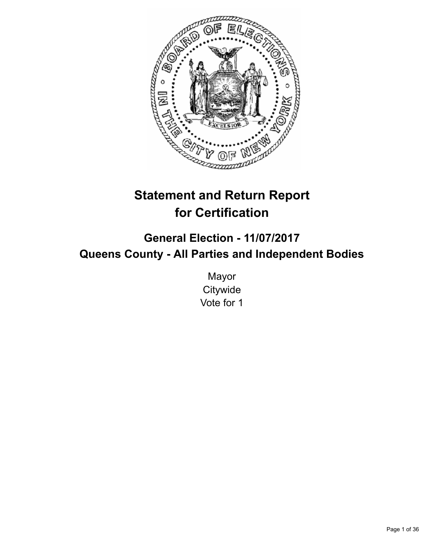

# **Statement and Return Report for Certification**

## **General Election - 11/07/2017 Queens County - All Parties and Independent Bodies**

Mayor **Citywide** Vote for 1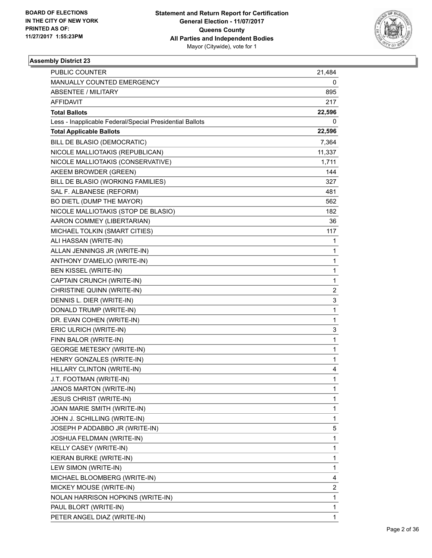

| <b>PUBLIC COUNTER</b>                                    | 21,484         |
|----------------------------------------------------------|----------------|
| MANUALLY COUNTED EMERGENCY                               | 0              |
| <b>ABSENTEE / MILITARY</b>                               | 895            |
| AFFIDAVIT                                                | 217            |
| <b>Total Ballots</b>                                     | 22,596         |
| Less - Inapplicable Federal/Special Presidential Ballots | 0              |
| <b>Total Applicable Ballots</b>                          | 22,596         |
| BILL DE BLASIO (DEMOCRATIC)                              | 7,364          |
| NICOLE MALLIOTAKIS (REPUBLICAN)                          | 11,337         |
| NICOLE MALLIOTAKIS (CONSERVATIVE)                        | 1,711          |
| AKEEM BROWDER (GREEN)                                    | 144            |
| BILL DE BLASIO (WORKING FAMILIES)                        | 327            |
| SAL F. ALBANESE (REFORM)                                 | 481            |
| BO DIETL (DUMP THE MAYOR)                                | 562            |
| NICOLE MALLIOTAKIS (STOP DE BLASIO)                      | 182            |
| AARON COMMEY (LIBERTARIAN)                               | 36             |
| MICHAEL TOLKIN (SMART CITIES)                            | 117            |
| ALI HASSAN (WRITE-IN)                                    | 1              |
| ALLAN JENNINGS JR (WRITE-IN)                             | 1              |
| ANTHONY D'AMELIO (WRITE-IN)                              | 1              |
| <b>BEN KISSEL (WRITE-IN)</b>                             | 1              |
| CAPTAIN CRUNCH (WRITE-IN)                                | 1              |
| CHRISTINE QUINN (WRITE-IN)                               | $\overline{2}$ |
| DENNIS L. DIER (WRITE-IN)                                | 3              |
| DONALD TRUMP (WRITE-IN)                                  | 1              |
| DR. EVAN COHEN (WRITE-IN)                                | 1              |
| ERIC ULRICH (WRITE-IN)                                   | 3              |
| FINN BALOR (WRITE-IN)                                    | 1              |
| <b>GEORGE METESKY (WRITE-IN)</b>                         | 1              |
| HENRY GONZALES (WRITE-IN)                                | 1              |
| HILLARY CLINTON (WRITE-IN)                               | 4              |
| J.T. FOOTMAN (WRITE-IN)                                  | $\mathbf{1}$   |
| JANOS MARTON (WRITE-IN)                                  | 1              |
| <b>JESUS CHRIST (WRITE-IN)</b>                           | 1              |
| JOAN MARIE SMITH (WRITE-IN)                              | 1              |
| JOHN J. SCHILLING (WRITE-IN)                             | 1              |
| JOSEPH P ADDABBO JR (WRITE-IN)                           | 5              |
| JOSHUA FELDMAN (WRITE-IN)                                | 1              |
| KELLY CASEY (WRITE-IN)                                   | 1              |
| KIERAN BURKE (WRITE-IN)                                  | 1              |
| LEW SIMON (WRITE-IN)                                     | 1              |
| MICHAEL BLOOMBERG (WRITE-IN)                             | 4              |
| MICKEY MOUSE (WRITE-IN)                                  | 2              |
| NOLAN HARRISON HOPKINS (WRITE-IN)                        | 1              |
| PAUL BLORT (WRITE-IN)                                    | 1              |
| PETER ANGEL DIAZ (WRITE-IN)                              | 1              |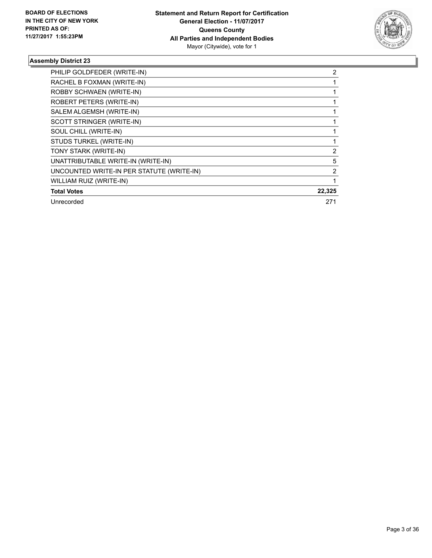

| PHILIP GOLDFEDER (WRITE-IN)               | 2              |
|-------------------------------------------|----------------|
| RACHEL B FOXMAN (WRITE-IN)                |                |
| ROBBY SCHWAEN (WRITE-IN)                  |                |
| ROBERT PETERS (WRITE-IN)                  |                |
| SALEM ALGEMSH (WRITE-IN)                  |                |
| SCOTT STRINGER (WRITE-IN)                 |                |
| SOUL CHILL (WRITE-IN)                     |                |
| STUDS TURKEL (WRITE-IN)                   |                |
| TONY STARK (WRITE-IN)                     | 2              |
| UNATTRIBUTABLE WRITE-IN (WRITE-IN)        | 5              |
| UNCOUNTED WRITE-IN PER STATUTE (WRITE-IN) | $\overline{2}$ |
| WILLIAM RUIZ (WRITE-IN)                   |                |
| <b>Total Votes</b>                        | 22,325         |
| Unrecorded                                | 271            |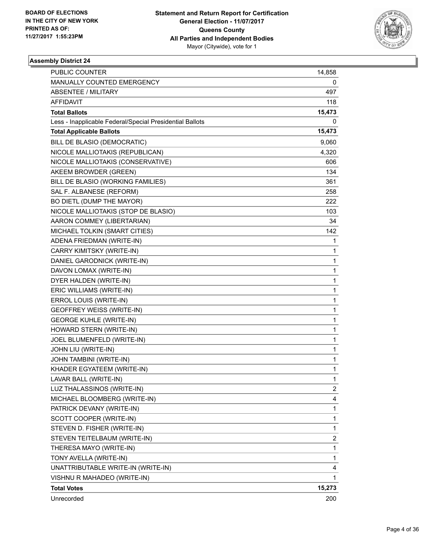

| PUBLIC COUNTER                                           | 14,858         |
|----------------------------------------------------------|----------------|
| MANUALLY COUNTED EMERGENCY                               | 0              |
| ABSENTEE / MILITARY                                      | 497            |
| AFFIDAVIT                                                | 118            |
| <b>Total Ballots</b>                                     | 15,473         |
| Less - Inapplicable Federal/Special Presidential Ballots | 0              |
| <b>Total Applicable Ballots</b>                          | 15,473         |
| BILL DE BLASIO (DEMOCRATIC)                              | 9,060          |
| NICOLE MALLIOTAKIS (REPUBLICAN)                          | 4,320          |
| NICOLE MALLIOTAKIS (CONSERVATIVE)                        | 606            |
| AKEEM BROWDER (GREEN)                                    | 134            |
| BILL DE BLASIO (WORKING FAMILIES)                        | 361            |
| SAL F. ALBANESE (REFORM)                                 | 258            |
| BO DIETL (DUMP THE MAYOR)                                | 222            |
| NICOLE MALLIOTAKIS (STOP DE BLASIO)                      | 103            |
| AARON COMMEY (LIBERTARIAN)                               | 34             |
| MICHAEL TOLKIN (SMART CITIES)                            | 142            |
| ADENA FRIEDMAN (WRITE-IN)                                | 1              |
| CARRY KIMITSKY (WRITE-IN)                                | 1              |
| DANIEL GARODNICK (WRITE-IN)                              | 1              |
| DAVON LOMAX (WRITE-IN)                                   | 1              |
| DYER HALDEN (WRITE-IN)                                   | 1              |
| ERIC WILLIAMS (WRITE-IN)                                 | 1              |
| ERROL LOUIS (WRITE-IN)                                   | 1              |
| GEOFFREY WEISS (WRITE-IN)                                | 1              |
| <b>GEORGE KUHLE (WRITE-IN)</b>                           | 1              |
| HOWARD STERN (WRITE-IN)                                  | 1              |
| JOEL BLUMENFELD (WRITE-IN)                               | 1              |
| JOHN LIU (WRITE-IN)                                      | 1              |
| JOHN TAMBINI (WRITE-IN)                                  | 1              |
| KHADER EGYATEEM (WRITE-IN)                               | 1              |
| LAVAR BALL (WRITE-IN)                                    | $\mathbf{1}$   |
| LUZ THALASSINOS (WRITE-IN)                               | $\overline{a}$ |
| MICHAEL BLOOMBERG (WRITE-IN)                             | 4              |
| PATRICK DEVANY (WRITE-IN)                                | 1              |
| SCOTT COOPER (WRITE-IN)                                  | 1              |
| STEVEN D. FISHER (WRITE-IN)                              | 1              |
| STEVEN TEITELBAUM (WRITE-IN)                             | 2              |
| THERESA MAYO (WRITE-IN)                                  | 1              |
| TONY AVELLA (WRITE-IN)                                   | 1              |
| UNATTRIBUTABLE WRITE-IN (WRITE-IN)                       | 4              |
| VISHNU R MAHADEO (WRITE-IN)                              | 1              |
| <b>Total Votes</b>                                       | 15,273         |
| Unrecorded                                               | 200            |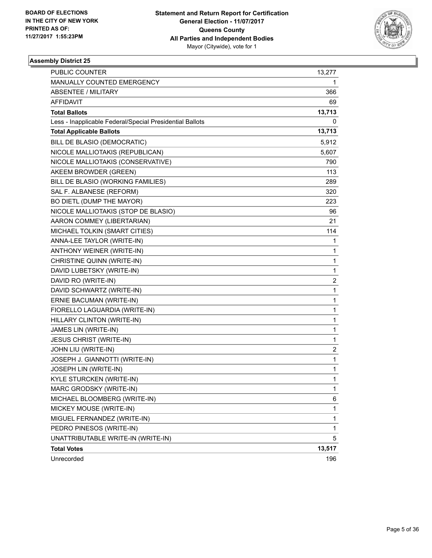

| PUBLIC COUNTER                                           | 13,277                  |
|----------------------------------------------------------|-------------------------|
| MANUALLY COUNTED EMERGENCY                               | 1                       |
| ABSENTEE / MILITARY                                      | 366                     |
| AFFIDAVIT                                                | 69                      |
| <b>Total Ballots</b>                                     | 13,713                  |
| Less - Inapplicable Federal/Special Presidential Ballots | 0                       |
| <b>Total Applicable Ballots</b>                          | 13,713                  |
| BILL DE BLASIO (DEMOCRATIC)                              | 5,912                   |
| NICOLE MALLIOTAKIS (REPUBLICAN)                          | 5,607                   |
| NICOLE MALLIOTAKIS (CONSERVATIVE)                        | 790                     |
| AKEEM BROWDER (GREEN)                                    | 113                     |
| BILL DE BLASIO (WORKING FAMILIES)                        | 289                     |
| SAL F. ALBANESE (REFORM)                                 | 320                     |
| BO DIETL (DUMP THE MAYOR)                                | 223                     |
| NICOLE MALLIOTAKIS (STOP DE BLASIO)                      | 96                      |
| AARON COMMEY (LIBERTARIAN)                               | 21                      |
| MICHAEL TOLKIN (SMART CITIES)                            | 114                     |
| ANNA-LEE TAYLOR (WRITE-IN)                               | 1                       |
| ANTHONY WEINER (WRITE-IN)                                | 1                       |
| CHRISTINE QUINN (WRITE-IN)                               | 1                       |
| DAVID LUBETSKY (WRITE-IN)                                | 1                       |
| DAVID RO (WRITE-IN)                                      | 2                       |
| DAVID SCHWARTZ (WRITE-IN)                                | 1                       |
| ERNIE BACUMAN (WRITE-IN)                                 | 1                       |
| FIORELLO LAGUARDIA (WRITE-IN)                            | 1                       |
| HILLARY CLINTON (WRITE-IN)                               | 1                       |
| JAMES LIN (WRITE-IN)                                     | 1                       |
| JESUS CHRIST (WRITE-IN)                                  | 1                       |
| JOHN LIU (WRITE-IN)                                      | $\overline{\mathbf{c}}$ |
| JOSEPH J. GIANNOTTI (WRITE-IN)                           | 1                       |
| JOSEPH LIN (WRITE-IN)                                    | 1                       |
| KYLE STURCKEN (WRITE-IN)                                 | $\mathbf{1}$            |
| MARC GRODSKY (WRITE-IN)                                  | 1                       |
| MICHAEL BLOOMBERG (WRITE-IN)                             | 6                       |
| MICKEY MOUSE (WRITE-IN)                                  | 1                       |
| MIGUEL FERNANDEZ (WRITE-IN)                              | 1                       |
| PEDRO PINESOS (WRITE-IN)                                 | 1                       |
| UNATTRIBUTABLE WRITE-IN (WRITE-IN)                       | 5                       |
| <b>Total Votes</b>                                       | 13,517                  |
| Unrecorded                                               | 196                     |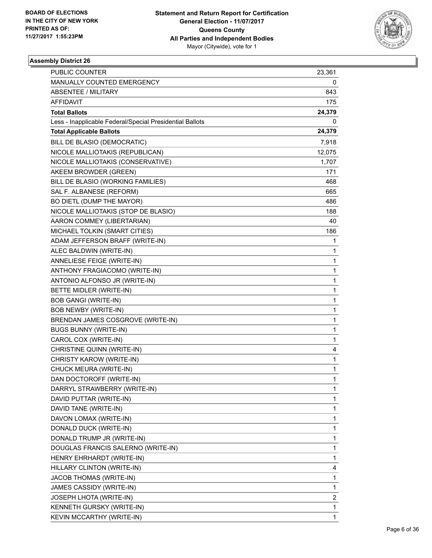

| <b>PUBLIC COUNTER</b>                                    | 23,361 |
|----------------------------------------------------------|--------|
| MANUALLY COUNTED EMERGENCY                               | 0      |
| ABSENTEE / MILITARY                                      | 843    |
| AFFIDAVIT                                                | 175    |
| <b>Total Ballots</b>                                     | 24,379 |
| Less - Inapplicable Federal/Special Presidential Ballots | 0      |
| <b>Total Applicable Ballots</b>                          | 24,379 |
| BILL DE BLASIO (DEMOCRATIC)                              | 7,918  |
| NICOLE MALLIOTAKIS (REPUBLICAN)                          | 12,075 |
| NICOLE MALLIOTAKIS (CONSERVATIVE)                        | 1,707  |
| AKEEM BROWDER (GREEN)                                    | 171    |
| BILL DE BLASIO (WORKING FAMILIES)                        | 468    |
| SAL F. ALBANESE (REFORM)                                 | 665    |
| BO DIETL (DUMP THE MAYOR)                                | 486    |
| NICOLE MALLIOTAKIS (STOP DE BLASIO)                      | 188    |
| AARON COMMEY (LIBERTARIAN)                               | 40     |
| MICHAEL TOLKIN (SMART CITIES)                            | 186    |
| ADAM JEFFERSON BRAFF (WRITE-IN)                          | 1      |
| ALEC BALDWIN (WRITE-IN)                                  | 1      |
| ANNELIESE FEIGE (WRITE-IN)                               | 1      |
| ANTHONY FRAGIACOMO (WRITE-IN)                            | 1      |
| ANTONIO ALFONSO JR (WRITE-IN)                            | 1      |
| BETTE MIDLER (WRITE-IN)                                  | 1      |
| <b>BOB GANGI (WRITE-IN)</b>                              | 1      |
| <b>BOB NEWBY (WRITE-IN)</b>                              | 1      |
| BRENDAN JAMES COSGROVE (WRITE-IN)                        | 1      |
| <b>BUGS BUNNY (WRITE-IN)</b>                             | 1      |
| CAROL COX (WRITE-IN)                                     | 1      |
| CHRISTINE QUINN (WRITE-IN)                               | 4      |
| CHRISTY KAROW (WRITE-IN)                                 | 1      |
| CHUCK MEURA (WRITE-IN)                                   | 1      |
| DAN DOCTOROFF (WRITE-IN)                                 | 1      |
| DARRYL STRAWBERRY (WRITE-IN)                             | 1      |
| DAVID PUTTAR (WRITE-IN)                                  | 1      |
| DAVID TANE (WRITE-IN)                                    | 1      |
| DAVON LOMAX (WRITE-IN)                                   | 1      |
| DONALD DUCK (WRITE-IN)                                   | 1      |
| DONALD TRUMP JR (WRITE-IN)                               | 1      |
| DOUGLAS FRANCIS SALERNO (WRITE-IN)                       | 1      |
| HENRY EHRHARDT (WRITE-IN)                                | 1      |
| HILLARY CLINTON (WRITE-IN)                               | 4      |
| JACOB THOMAS (WRITE-IN)                                  | 1      |
| JAMES CASSIDY (WRITE-IN)                                 | 1      |
| <b>JOSEPH LHOTA (WRITE-IN)</b>                           | 2      |
| KENNETH GURSKY (WRITE-IN)                                | 1      |
| KEVIN MCCARTHY (WRITE-IN)                                | 1      |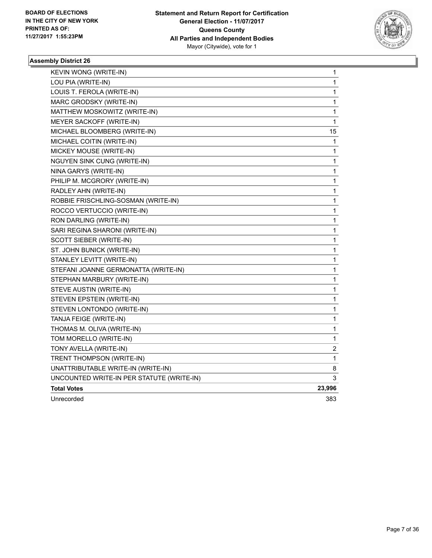

| KEVIN WONG (WRITE-IN)                     | $\mathbf 1$  |
|-------------------------------------------|--------------|
| LOU PIA (WRITE-IN)                        | 1            |
| LOUIS T. FEROLA (WRITE-IN)                | 1            |
| MARC GRODSKY (WRITE-IN)                   | 1            |
| MATTHEW MOSKOWITZ (WRITE-IN)              | 1            |
| MEYER SACKOFF (WRITE-IN)                  | $\mathbf 1$  |
| MICHAEL BLOOMBERG (WRITE-IN)              | 15           |
| MICHAEL COITIN (WRITE-IN)                 | 1            |
| MICKEY MOUSE (WRITE-IN)                   | 1            |
| <b>NGUYEN SINK CUNG (WRITE-IN)</b>        | 1            |
| NINA GARYS (WRITE-IN)                     | 1            |
| PHILIP M. MCGRORY (WRITE-IN)              | 1            |
| RADLEY AHN (WRITE-IN)                     | 1            |
| ROBBIE FRISCHLING-SOSMAN (WRITE-IN)       | 1            |
| ROCCO VERTUCCIO (WRITE-IN)                | 1            |
| RON DARLING (WRITE-IN)                    | 1            |
| SARI REGINA SHARONI (WRITE-IN)            | 1            |
| SCOTT SIEBER (WRITE-IN)                   | 1            |
| ST. JOHN BUNICK (WRITE-IN)                | 1            |
| STANLEY LEVITT (WRITE-IN)                 | 1            |
| STEFANI JOANNE GERMONATTA (WRITE-IN)      | 1            |
| STEPHAN MARBURY (WRITE-IN)                | 1            |
| STEVE AUSTIN (WRITE-IN)                   | 1            |
| STEVEN EPSTEIN (WRITE-IN)                 | 1            |
| STEVEN LONTONDO (WRITE-IN)                | 1            |
| TANJA FEIGE (WRITE-IN)                    | $\mathbf{1}$ |
| THOMAS M. OLIVA (WRITE-IN)                | 1            |
| TOM MORELLO (WRITE-IN)                    | 1            |
| TONY AVELLA (WRITE-IN)                    | 2            |
| TRENT THOMPSON (WRITE-IN)                 | 1            |
| UNATTRIBUTABLE WRITE-IN (WRITE-IN)        | 8            |
| UNCOUNTED WRITE-IN PER STATUTE (WRITE-IN) | 3            |
| <b>Total Votes</b>                        | 23,996       |
| Unrecorded                                | 383          |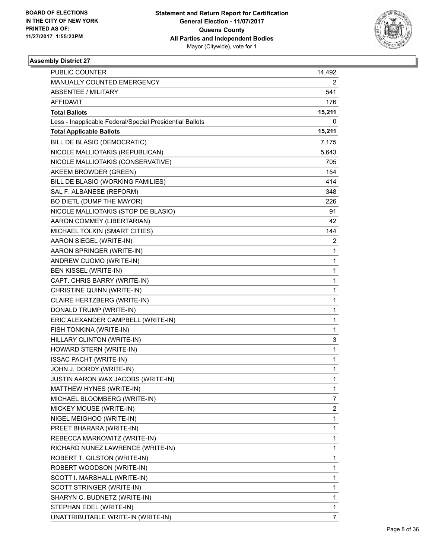

| <b>PUBLIC COUNTER</b>                                    | 14,492                  |
|----------------------------------------------------------|-------------------------|
| MANUALLY COUNTED EMERGENCY                               | 2                       |
| <b>ABSENTEE / MILITARY</b>                               | 541                     |
| AFFIDAVIT                                                | 176                     |
| <b>Total Ballots</b>                                     | 15,211                  |
| Less - Inapplicable Federal/Special Presidential Ballots | 0                       |
| <b>Total Applicable Ballots</b>                          | 15,211                  |
| BILL DE BLASIO (DEMOCRATIC)                              | 7,175                   |
| NICOLE MALLIOTAKIS (REPUBLICAN)                          | 5,643                   |
| NICOLE MALLIOTAKIS (CONSERVATIVE)                        | 705                     |
| AKEEM BROWDER (GREEN)                                    | 154                     |
| BILL DE BLASIO (WORKING FAMILIES)                        | 414                     |
| SAL F. ALBANESE (REFORM)                                 | 348                     |
| BO DIETL (DUMP THE MAYOR)                                | 226                     |
| NICOLE MALLIOTAKIS (STOP DE BLASIO)                      | 91                      |
| AARON COMMEY (LIBERTARIAN)                               | 42                      |
| MICHAEL TOLKIN (SMART CITIES)                            | 144                     |
| AARON SIEGEL (WRITE-IN)                                  | 2                       |
| AARON SPRINGER (WRITE-IN)                                | 1                       |
| ANDREW CUOMO (WRITE-IN)                                  | 1                       |
| BEN KISSEL (WRITE-IN)                                    | 1                       |
| CAPT. CHRIS BARRY (WRITE-IN)                             | 1                       |
| CHRISTINE QUINN (WRITE-IN)                               | 1                       |
| CLAIRE HERTZBERG (WRITE-IN)                              | 1                       |
| DONALD TRUMP (WRITE-IN)                                  | 1                       |
| ERIC ALEXANDER CAMPBELL (WRITE-IN)                       | 1                       |
| FISH TONKINA (WRITE-IN)                                  | 1                       |
| HILLARY CLINTON (WRITE-IN)                               | 3                       |
| HOWARD STERN (WRITE-IN)                                  | 1                       |
| <b>ISSAC PACHT (WRITE-IN)</b>                            | 1                       |
| JOHN J. DORDY (WRITE-IN)                                 | 1                       |
| JUSTIN AARON WAX JACOBS (WRITE-IN)                       | 1                       |
| MATTHEW HYNES (WRITE-IN)                                 | 1                       |
| MICHAEL BLOOMBERG (WRITE-IN)                             | 7                       |
| MICKEY MOUSE (WRITE-IN)                                  | $\overline{\mathbf{c}}$ |
| NIGEL MEIGHOO (WRITE-IN)                                 | 1                       |
| PREET BHARARA (WRITE-IN)                                 | 1                       |
| REBECCA MARKOWITZ (WRITE-IN)                             | 1                       |
| RICHARD NUNEZ LAWRENCE (WRITE-IN)                        | 1                       |
| ROBERT T. GILSTON (WRITE-IN)                             | 1                       |
| ROBERT WOODSON (WRITE-IN)                                | 1                       |
| SCOTT I. MARSHALL (WRITE-IN)                             | 1                       |
| SCOTT STRINGER (WRITE-IN)                                | 1                       |
| SHARYN C. BUDNETZ (WRITE-IN)                             | 1                       |
| STEPHAN EDEL (WRITE-IN)                                  | 1                       |
| UNATTRIBUTABLE WRITE-IN (WRITE-IN)                       | $\overline{7}$          |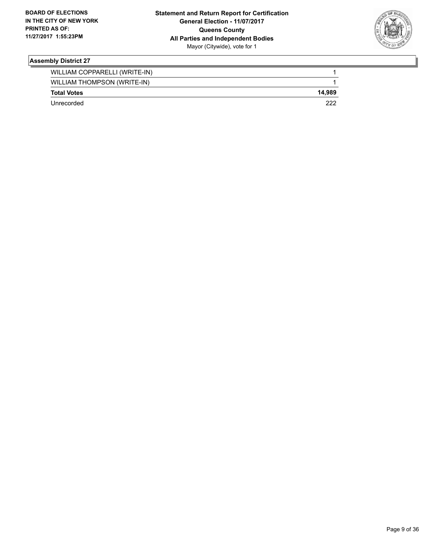

| WILLIAM COPPARELLI (WRITE-IN) |        |
|-------------------------------|--------|
| WILLIAM THOMPSON (WRITE-IN)   |        |
| <b>Total Votes</b>            | 14.989 |
| Unrecorded                    | つつつ    |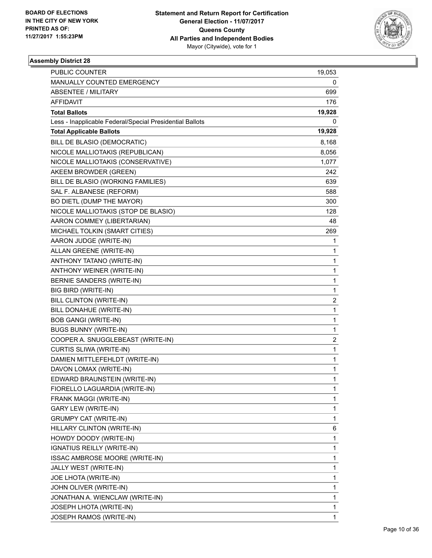

| <b>PUBLIC COUNTER</b>                                    | 19,053 |
|----------------------------------------------------------|--------|
| MANUALLY COUNTED EMERGENCY                               | 0      |
| <b>ABSENTEE / MILITARY</b>                               | 699    |
| <b>AFFIDAVIT</b>                                         | 176    |
| <b>Total Ballots</b>                                     | 19,928 |
| Less - Inapplicable Federal/Special Presidential Ballots | 0      |
| <b>Total Applicable Ballots</b>                          | 19,928 |
| BILL DE BLASIO (DEMOCRATIC)                              | 8,168  |
| NICOLE MALLIOTAKIS (REPUBLICAN)                          | 8,056  |
| NICOLE MALLIOTAKIS (CONSERVATIVE)                        | 1,077  |
| AKEEM BROWDER (GREEN)                                    | 242    |
| BILL DE BLASIO (WORKING FAMILIES)                        | 639    |
| SAL F. ALBANESE (REFORM)                                 | 588    |
| BO DIETL (DUMP THE MAYOR)                                | 300    |
| NICOLE MALLIOTAKIS (STOP DE BLASIO)                      | 128    |
| AARON COMMEY (LIBERTARIAN)                               | 48     |
| MICHAEL TOLKIN (SMART CITIES)                            | 269    |
| AARON JUDGE (WRITE-IN)                                   | 1      |
| ALLAN GREENE (WRITE-IN)                                  | 1      |
| ANTHONY TATANO (WRITE-IN)                                | 1      |
| ANTHONY WEINER (WRITE-IN)                                | 1      |
| BERNIE SANDERS (WRITE-IN)                                | 1      |
| BIG BIRD (WRITE-IN)                                      | 1      |
| BILL CLINTON (WRITE-IN)                                  | 2      |
| BILL DONAHUE (WRITE-IN)                                  | 1      |
| <b>BOB GANGI (WRITE-IN)</b>                              | 1      |
| <b>BUGS BUNNY (WRITE-IN)</b>                             | 1      |
| COOPER A. SNUGGLEBEAST (WRITE-IN)                        | 2      |
| CURTIS SLIWA (WRITE-IN)                                  | 1      |
| DAMIEN MITTLEFEHLDT (WRITE-IN)                           | 1      |
| DAVON LOMAX (WRITE-IN)                                   | 1      |
| EDWARD BRAUNSTEIN (WRITE-IN)                             | 1      |
| FIORELLO LAGUARDIA (WRITE-IN)                            | 1      |
| FRANK MAGGI (WRITE-IN)                                   | 1      |
| <b>GARY LEW (WRITE-IN)</b>                               | 1      |
| <b>GRUMPY CAT (WRITE-IN)</b>                             | 1      |
| HILLARY CLINTON (WRITE-IN)                               | 6      |
| HOWDY DOODY (WRITE-IN)                                   | 1      |
| IGNATIUS REILLY (WRITE-IN)                               | 1      |
| ISSAC AMBROSE MOORE (WRITE-IN)                           | 1      |
| JALLY WEST (WRITE-IN)                                    | 1      |
| JOE LHOTA (WRITE-IN)                                     | 1      |
| JOHN OLIVER (WRITE-IN)                                   | 1      |
| JONATHAN A. WIENCLAW (WRITE-IN)                          | 1      |
| JOSEPH LHOTA (WRITE-IN)                                  | 1      |
| JOSEPH RAMOS (WRITE-IN)                                  | 1      |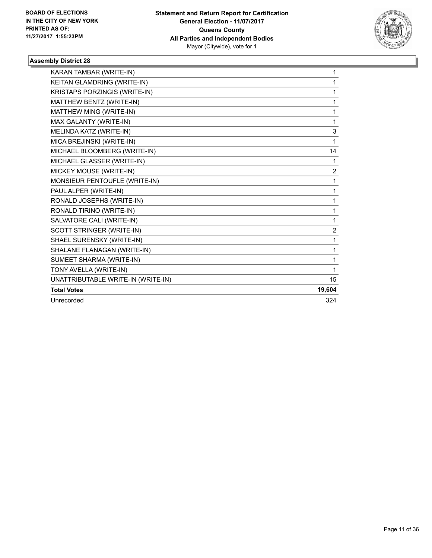

| KARAN TAMBAR (WRITE-IN)            | 1      |
|------------------------------------|--------|
| KEITAN GLAMDRING (WRITE-IN)        | 1      |
| KRISTAPS PORZINGIS (WRITE-IN)      | 1      |
| MATTHEW BENTZ (WRITE-IN)           | 1      |
| MATTHEW MING (WRITE-IN)            | 1      |
| MAX GALANTY (WRITE-IN)             | 1      |
| MELINDA KATZ (WRITE-IN)            | 3      |
| MICA BREJINSKI (WRITE-IN)          | 1      |
| MICHAEL BLOOMBERG (WRITE-IN)       | 14     |
| MICHAEL GLASSER (WRITE-IN)         | 1      |
| MICKEY MOUSE (WRITE-IN)            | 2      |
| MONSIEUR PENTOUFLE (WRITE-IN)      | 1      |
| PAUL ALPER (WRITE-IN)              | 1      |
| RONALD JOSEPHS (WRITE-IN)          | 1      |
| RONALD TIRINO (WRITE-IN)           | 1      |
| SALVATORE CALI (WRITE-IN)          | 1      |
| SCOTT STRINGER (WRITE-IN)          | 2      |
| SHAEL SURENSKY (WRITE-IN)          | 1      |
| SHALANE FLANAGAN (WRITE-IN)        | 1      |
| SUMEET SHARMA (WRITE-IN)           | 1      |
| TONY AVELLA (WRITE-IN)             | 1      |
| UNATTRIBUTABLE WRITE-IN (WRITE-IN) | 15     |
| <b>Total Votes</b>                 | 19,604 |
| Unrecorded                         | 324    |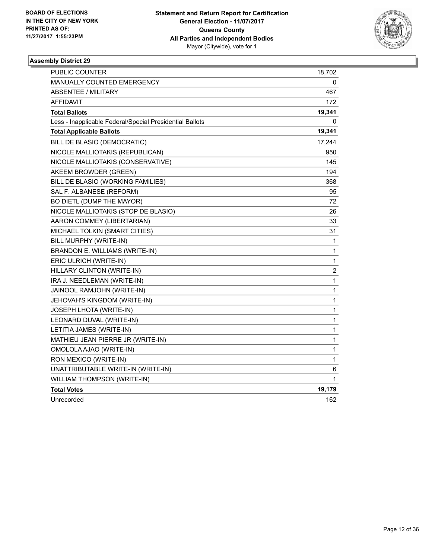

| <b>PUBLIC COUNTER</b>                                    | 18,702                  |
|----------------------------------------------------------|-------------------------|
| MANUALLY COUNTED EMERGENCY                               | 0                       |
| ABSENTEE / MILITARY                                      | 467                     |
| AFFIDAVIT                                                | 172                     |
| <b>Total Ballots</b>                                     | 19,341                  |
| Less - Inapplicable Federal/Special Presidential Ballots | 0                       |
| <b>Total Applicable Ballots</b>                          | 19,341                  |
| BILL DE BLASIO (DEMOCRATIC)                              | 17,244                  |
| NICOLE MALLIOTAKIS (REPUBLICAN)                          | 950                     |
| NICOLE MALLIOTAKIS (CONSERVATIVE)                        | 145                     |
| AKEEM BROWDER (GREEN)                                    | 194                     |
| BILL DE BLASIO (WORKING FAMILIES)                        | 368                     |
| SAL F. ALBANESE (REFORM)                                 | 95                      |
| BO DIETL (DUMP THE MAYOR)                                | 72                      |
| NICOLE MALLIOTAKIS (STOP DE BLASIO)                      | 26                      |
| AARON COMMEY (LIBERTARIAN)                               | 33                      |
| MICHAEL TOLKIN (SMART CITIES)                            | 31                      |
| BILL MURPHY (WRITE-IN)                                   | 1                       |
| BRANDON E. WILLIAMS (WRITE-IN)                           | 1                       |
| ERIC ULRICH (WRITE-IN)                                   | 1                       |
| HILLARY CLINTON (WRITE-IN)                               | $\overline{\mathbf{c}}$ |
| IRA J. NEEDLEMAN (WRITE-IN)                              | 1                       |
| JAINOOL RAMJOHN (WRITE-IN)                               | 1                       |
| JEHOVAH'S KINGDOM (WRITE-IN)                             | 1                       |
| JOSEPH LHOTA (WRITE-IN)                                  | 1                       |
| LEONARD DUVAL (WRITE-IN)                                 | 1                       |
| LETITIA JAMES (WRITE-IN)                                 | 1                       |
| MATHIEU JEAN PIERRE JR (WRITE-IN)                        | 1                       |
| OMOLOLA AJAO (WRITE-IN)                                  | 1                       |
| RON MEXICO (WRITE-IN)                                    | 1                       |
| UNATTRIBUTABLE WRITE-IN (WRITE-IN)                       | 6                       |
| WILLIAM THOMPSON (WRITE-IN)                              | 1                       |
| <b>Total Votes</b>                                       | 19,179                  |
| Unrecorded                                               | 162                     |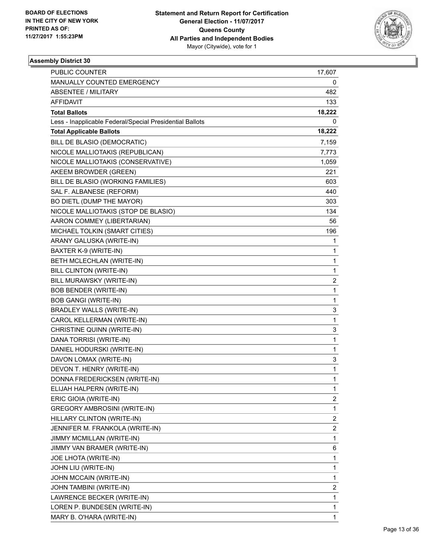

| <b>PUBLIC COUNTER</b>                                    | 17,607                  |
|----------------------------------------------------------|-------------------------|
| MANUALLY COUNTED EMERGENCY                               | 0                       |
| ABSENTEE / MILITARY                                      | 482                     |
| AFFIDAVIT                                                | 133                     |
| <b>Total Ballots</b>                                     | 18,222                  |
| Less - Inapplicable Federal/Special Presidential Ballots | 0                       |
| <b>Total Applicable Ballots</b>                          | 18,222                  |
| BILL DE BLASIO (DEMOCRATIC)                              | 7,159                   |
| NICOLE MALLIOTAKIS (REPUBLICAN)                          | 7,773                   |
| NICOLE MALLIOTAKIS (CONSERVATIVE)                        | 1,059                   |
| AKEEM BROWDER (GREEN)                                    | 221                     |
| BILL DE BLASIO (WORKING FAMILIES)                        | 603                     |
| SAL F. ALBANESE (REFORM)                                 | 440                     |
| BO DIETL (DUMP THE MAYOR)                                | 303                     |
| NICOLE MALLIOTAKIS (STOP DE BLASIO)                      | 134                     |
| AARON COMMEY (LIBERTARIAN)                               | 56                      |
| MICHAEL TOLKIN (SMART CITIES)                            | 196                     |
| ARANY GALUSKA (WRITE-IN)                                 | 1                       |
| BAXTER K-9 (WRITE-IN)                                    | 1                       |
| BETH MCLECHLAN (WRITE-IN)                                | 1                       |
| BILL CLINTON (WRITE-IN)                                  | 1                       |
| BILL MURAWSKY (WRITE-IN)                                 | 2                       |
| <b>BOB BENDER (WRITE-IN)</b>                             | 1                       |
| <b>BOB GANGI (WRITE-IN)</b>                              | 1                       |
| <b>BRADLEY WALLS (WRITE-IN)</b>                          | 3                       |
| CAROL KELLERMAN (WRITE-IN)                               | 1                       |
| CHRISTINE QUINN (WRITE-IN)                               | 3                       |
| DANA TORRISI (WRITE-IN)                                  | 1                       |
| DANIEL HODURSKI (WRITE-IN)                               | 1                       |
| DAVON LOMAX (WRITE-IN)                                   | 3                       |
| DEVON T. HENRY (WRITE-IN)                                | 1                       |
| DONNA FREDERICKSEN (WRITE-IN)                            | 1                       |
| ELIJAH HALPERN (WRITE-IN)                                | 1                       |
| ERIC GIOIA (WRITE-IN)                                    | 2                       |
| <b>GREGORY AMBROSINI (WRITE-IN)</b>                      | 1                       |
| HILLARY CLINTON (WRITE-IN)                               | $\overline{\mathbf{c}}$ |
| JENNIFER M. FRANKOLA (WRITE-IN)                          | $\overline{\mathbf{c}}$ |
| JIMMY MCMILLAN (WRITE-IN)                                | 1                       |
| JIMMY VAN BRAMER (WRITE-IN)                              | 6                       |
| JOE LHOTA (WRITE-IN)                                     | 1                       |
| JOHN LIU (WRITE-IN)                                      | 1                       |
| JOHN MCCAIN (WRITE-IN)                                   | 1                       |
| JOHN TAMBINI (WRITE-IN)                                  | 2                       |
| LAWRENCE BECKER (WRITE-IN)                               | 1                       |
| LOREN P. BUNDESEN (WRITE-IN)                             | 1                       |
| MARY B. O'HARA (WRITE-IN)                                | 1                       |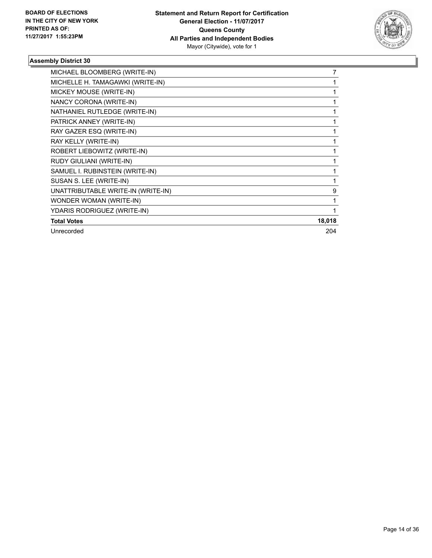

| MICHAEL BLOOMBERG (WRITE-IN)       | 7      |
|------------------------------------|--------|
| MICHELLE H. TAMAGAWKI (WRITE-IN)   |        |
| MICKEY MOUSE (WRITE-IN)            |        |
| NANCY CORONA (WRITE-IN)            |        |
| NATHANIEL RUTLEDGE (WRITE-IN)      |        |
| PATRICK ANNEY (WRITE-IN)           |        |
| RAY GAZER ESQ (WRITE-IN)           |        |
| RAY KELLY (WRITE-IN)               |        |
| ROBERT LIEBOWITZ (WRITE-IN)        |        |
| RUDY GIULIANI (WRITE-IN)           |        |
| SAMUEL I. RUBINSTEIN (WRITE-IN)    |        |
| SUSAN S. LEE (WRITE-IN)            |        |
| UNATTRIBUTABLE WRITE-IN (WRITE-IN) | 9      |
| WONDER WOMAN (WRITE-IN)            |        |
| YDARIS RODRIGUEZ (WRITE-IN)        |        |
| <b>Total Votes</b>                 | 18,018 |
| Unrecorded                         | 204    |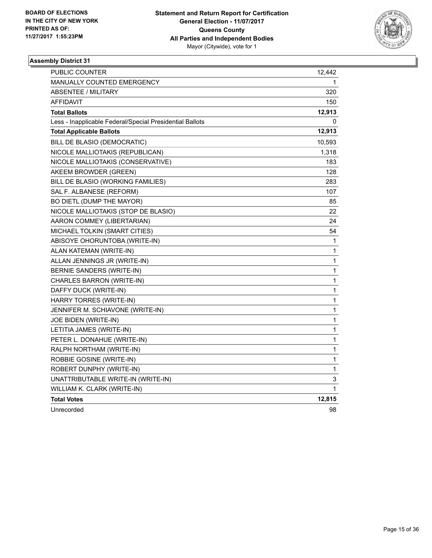

| PUBLIC COUNTER                                           | 12,442       |
|----------------------------------------------------------|--------------|
| <b>MANUALLY COUNTED EMERGENCY</b>                        | 1            |
| ABSENTEE / MILITARY                                      | 320          |
| <b>AFFIDAVIT</b>                                         | 150          |
| <b>Total Ballots</b>                                     | 12,913       |
| Less - Inapplicable Federal/Special Presidential Ballots | 0            |
| <b>Total Applicable Ballots</b>                          | 12,913       |
| BILL DE BLASIO (DEMOCRATIC)                              | 10,593       |
| NICOLE MALLIOTAKIS (REPUBLICAN)                          | 1,318        |
| NICOLE MALLIOTAKIS (CONSERVATIVE)                        | 183          |
| AKEEM BROWDER (GREEN)                                    | 128          |
| BILL DE BLASIO (WORKING FAMILIES)                        | 283          |
| SAL F. ALBANESE (REFORM)                                 | 107          |
| BO DIETL (DUMP THE MAYOR)                                | 85           |
| NICOLE MALLIOTAKIS (STOP DE BLASIO)                      | 22           |
| AARON COMMEY (LIBERTARIAN)                               | 24           |
| MICHAEL TOLKIN (SMART CITIES)                            | 54           |
| ABISOYE OHORUNTOBA (WRITE-IN)                            | 1            |
| ALAN KATEMAN (WRITE-IN)                                  | 1            |
| ALLAN JENNINGS JR (WRITE-IN)                             | 1            |
| BERNIE SANDERS (WRITE-IN)                                | 1            |
| CHARLES BARRON (WRITE-IN)                                | $\mathbf{1}$ |
| DAFFY DUCK (WRITE-IN)                                    | 1            |
| HARRY TORRES (WRITE-IN)                                  | 1            |
| JENNIFER M. SCHIAVONE (WRITE-IN)                         | 1            |
| JOE BIDEN (WRITE-IN)                                     | 1            |
| LETITIA JAMES (WRITE-IN)                                 | 1            |
| PETER L. DONAHUE (WRITE-IN)                              | 1            |
| RALPH NORTHAM (WRITE-IN)                                 | $\mathbf{1}$ |
| ROBBIE GOSINE (WRITE-IN)                                 | 1            |
| ROBERT DUNPHY (WRITE-IN)                                 | $\mathbf{1}$ |
| UNATTRIBUTABLE WRITE-IN (WRITE-IN)                       | 3            |
| WILLIAM K. CLARK (WRITE-IN)                              | $\mathbf{1}$ |
| <b>Total Votes</b>                                       | 12,815       |
| Unrecorded                                               | 98           |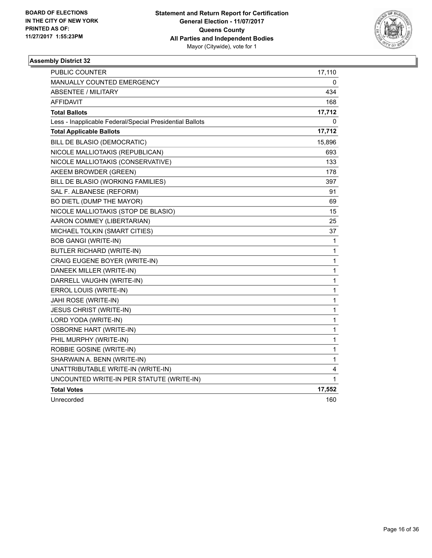

| <b>PUBLIC COUNTER</b>                                    | 17,110       |
|----------------------------------------------------------|--------------|
| MANUALLY COUNTED EMERGENCY                               | 0            |
| <b>ABSENTEE / MILITARY</b>                               | 434          |
| <b>AFFIDAVIT</b>                                         | 168          |
| <b>Total Ballots</b>                                     | 17,712       |
| Less - Inapplicable Federal/Special Presidential Ballots | 0            |
| <b>Total Applicable Ballots</b>                          | 17,712       |
| BILL DE BLASIO (DEMOCRATIC)                              | 15,896       |
| NICOLE MALLIOTAKIS (REPUBLICAN)                          | 693          |
| NICOLE MALLIOTAKIS (CONSERVATIVE)                        | 133          |
| AKEEM BROWDER (GREEN)                                    | 178          |
| BILL DE BLASIO (WORKING FAMILIES)                        | 397          |
| SAL F. ALBANESE (REFORM)                                 | 91           |
| BO DIETL (DUMP THE MAYOR)                                | 69           |
| NICOLE MALLIOTAKIS (STOP DE BLASIO)                      | 15           |
| AARON COMMEY (LIBERTARIAN)                               | 25           |
| MICHAEL TOLKIN (SMART CITIES)                            | 37           |
| <b>BOB GANGI (WRITE-IN)</b>                              | 1            |
| <b>BUTLER RICHARD (WRITE-IN)</b>                         | 1            |
| CRAIG EUGENE BOYER (WRITE-IN)                            | 1            |
| DANEEK MILLER (WRITE-IN)                                 | $\mathbf{1}$ |
| DARRELL VAUGHN (WRITE-IN)                                | 1            |
| ERROL LOUIS (WRITE-IN)                                   | 1            |
| JAHI ROSE (WRITE-IN)                                     | 1            |
| JESUS CHRIST (WRITE-IN)                                  | $\mathbf{1}$ |
| LORD YODA (WRITE-IN)                                     | $\mathbf{1}$ |
| <b>OSBORNE HART (WRITE-IN)</b>                           | 1            |
| PHIL MURPHY (WRITE-IN)                                   | 1            |
| ROBBIE GOSINE (WRITE-IN)                                 | 1            |
| SHARWAIN A. BENN (WRITE-IN)                              | 1            |
| UNATTRIBUTABLE WRITE-IN (WRITE-IN)                       | 4            |
| UNCOUNTED WRITE-IN PER STATUTE (WRITE-IN)                | 1            |
| <b>Total Votes</b>                                       | 17,552       |
| Unrecorded                                               | 160          |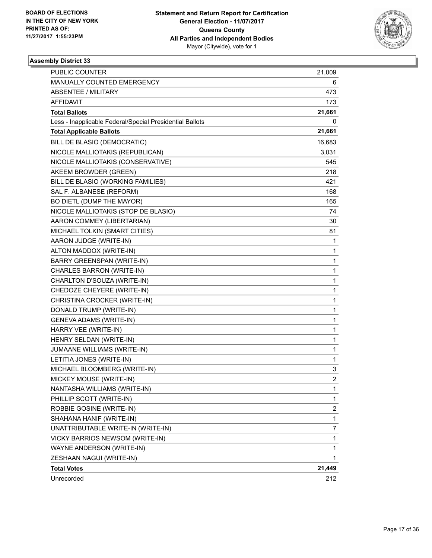

| PUBLIC COUNTER                                           | 21,009                  |
|----------------------------------------------------------|-------------------------|
| MANUALLY COUNTED EMERGENCY                               | 6                       |
| ABSENTEE / MILITARY                                      | 473                     |
| AFFIDAVIT                                                | 173                     |
| <b>Total Ballots</b>                                     | 21,661                  |
| Less - Inapplicable Federal/Special Presidential Ballots | 0                       |
| <b>Total Applicable Ballots</b>                          | 21,661                  |
| BILL DE BLASIO (DEMOCRATIC)                              | 16,683                  |
| NICOLE MALLIOTAKIS (REPUBLICAN)                          | 3,031                   |
| NICOLE MALLIOTAKIS (CONSERVATIVE)                        | 545                     |
| AKEEM BROWDER (GREEN)                                    | 218                     |
| BILL DE BLASIO (WORKING FAMILIES)                        | 421                     |
| SAL F. ALBANESE (REFORM)                                 | 168                     |
| BO DIETL (DUMP THE MAYOR)                                | 165                     |
| NICOLE MALLIOTAKIS (STOP DE BLASIO)                      | 74                      |
| AARON COMMEY (LIBERTARIAN)                               | 30                      |
| MICHAEL TOLKIN (SMART CITIES)                            | 81                      |
| AARON JUDGE (WRITE-IN)                                   | 1                       |
| ALTON MADDOX (WRITE-IN)                                  | 1                       |
| BARRY GREENSPAN (WRITE-IN)                               | 1                       |
| CHARLES BARRON (WRITE-IN)                                | 1                       |
| CHARLTON D'SOUZA (WRITE-IN)                              | 1                       |
| CHEDOZE CHEYERE (WRITE-IN)                               | 1                       |
| CHRISTINA CROCKER (WRITE-IN)                             | 1                       |
| DONALD TRUMP (WRITE-IN)                                  | 1                       |
| <b>GENEVA ADAMS (WRITE-IN)</b>                           | 1                       |
| HARRY VEE (WRITE-IN)                                     | 1                       |
| HENRY SELDAN (WRITE-IN)                                  | 1                       |
| JUMAANE WILLIAMS (WRITE-IN)                              | 1                       |
| LETITIA JONES (WRITE-IN)                                 | 1                       |
| MICHAEL BLOOMBERG (WRITE-IN)                             | 3                       |
| MICKEY MOUSE (WRITE-IN)                                  | $\overline{2}$          |
| NANTASHA WILLIAMS (WRITE-IN)                             | 1                       |
| PHILLIP SCOTT (WRITE-IN)                                 | 1                       |
| ROBBIE GOSINE (WRITE-IN)                                 | $\overline{\mathbf{c}}$ |
| SHAHANA HANIF (WRITE-IN)                                 | 1                       |
| UNATTRIBUTABLE WRITE-IN (WRITE-IN)                       | 7                       |
| VICKY BARRIOS NEWSOM (WRITE-IN)                          | 1                       |
| WAYNE ANDERSON (WRITE-IN)                                | 1                       |
| ZESHAAN NAGUI (WRITE-IN)                                 | 1.                      |
| <b>Total Votes</b>                                       | 21,449                  |
| Unrecorded                                               | 212                     |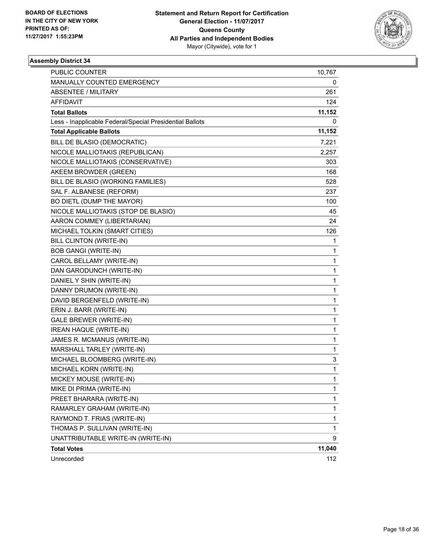

| <b>PUBLIC COUNTER</b>                                    | 10,767 |
|----------------------------------------------------------|--------|
| MANUALLY COUNTED EMERGENCY                               | 0      |
| <b>ABSENTEE / MILITARY</b>                               | 261    |
| AFFIDAVIT                                                | 124    |
| <b>Total Ballots</b>                                     | 11,152 |
| Less - Inapplicable Federal/Special Presidential Ballots | 0      |
| <b>Total Applicable Ballots</b>                          | 11,152 |
| BILL DE BLASIO (DEMOCRATIC)                              | 7,221  |
| NICOLE MALLIOTAKIS (REPUBLICAN)                          | 2,257  |
| NICOLE MALLIOTAKIS (CONSERVATIVE)                        | 303    |
| AKEEM BROWDER (GREEN)                                    | 168    |
| BILL DE BLASIO (WORKING FAMILIES)                        | 528    |
| SAL F. ALBANESE (REFORM)                                 | 237    |
| BO DIETL (DUMP THE MAYOR)                                | 100    |
| NICOLE MALLIOTAKIS (STOP DE BLASIO)                      | 45     |
| AARON COMMEY (LIBERTARIAN)                               | 24     |
| MICHAEL TOLKIN (SMART CITIES)                            | 126    |
| <b>BILL CLINTON (WRITE-IN)</b>                           | 1      |
| <b>BOB GANGI (WRITE-IN)</b>                              | 1      |
| CAROL BELLAMY (WRITE-IN)                                 | 1      |
| DAN GARODUNCH (WRITE-IN)                                 | 1      |
| DANIEL Y SHIN (WRITE-IN)                                 | 1      |
| DANNY DRUMON (WRITE-IN)                                  | 1      |
| DAVID BERGENFELD (WRITE-IN)                              | 1      |
| ERIN J. BARR (WRITE-IN)                                  | 1      |
| GALE BREWER (WRITE-IN)                                   | 1      |
| <b>IREAN HAQUE (WRITE-IN)</b>                            | 1      |
| JAMES R. MCMANUS (WRITE-IN)                              | 1      |
| MARSHALL TARLEY (WRITE-IN)                               | 1      |
| MICHAEL BLOOMBERG (WRITE-IN)                             | 3      |
| MICHAEL KORN (WRITE-IN)                                  | 1      |
| MICKEY MOUSE (WRITE-IN)                                  | 1      |
| MIKE DI PRIMA (WRITE-IN)                                 | 1      |
| PREET BHARARA (WRITE-IN)                                 | 1      |
| RAMARLEY GRAHAM (WRITE-IN)                               | 1      |
| RAYMOND T. FRIAS (WRITE-IN)                              | 1      |
| THOMAS P. SULLIVAN (WRITE-IN)                            | 1      |
| UNATTRIBUTABLE WRITE-IN (WRITE-IN)                       | 9      |
| <b>Total Votes</b>                                       | 11,040 |
| Unrecorded                                               | 112    |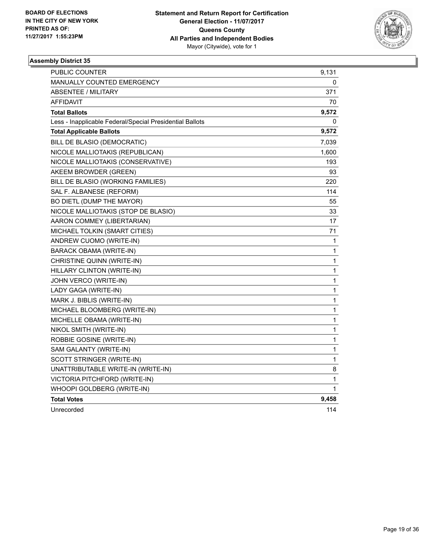

| PUBLIC COUNTER                                           | 9,131        |
|----------------------------------------------------------|--------------|
| <b>MANUALLY COUNTED EMERGENCY</b>                        | 0            |
| ABSENTEE / MILITARY                                      | 371          |
| <b>AFFIDAVIT</b>                                         | 70           |
| <b>Total Ballots</b>                                     | 9,572        |
| Less - Inapplicable Federal/Special Presidential Ballots | 0            |
| <b>Total Applicable Ballots</b>                          | 9,572        |
| BILL DE BLASIO (DEMOCRATIC)                              | 7,039        |
| NICOLE MALLIOTAKIS (REPUBLICAN)                          | 1,600        |
| NICOLE MALLIOTAKIS (CONSERVATIVE)                        | 193          |
| AKEEM BROWDER (GREEN)                                    | 93           |
| BILL DE BLASIO (WORKING FAMILIES)                        | 220          |
| SAL F. ALBANESE (REFORM)                                 | 114          |
| BO DIETL (DUMP THE MAYOR)                                | 55           |
| NICOLE MALLIOTAKIS (STOP DE BLASIO)                      | 33           |
| AARON COMMEY (LIBERTARIAN)                               | 17           |
| MICHAEL TOLKIN (SMART CITIES)                            | 71           |
| ANDREW CUOMO (WRITE-IN)                                  | 1            |
| BARACK OBAMA (WRITE-IN)                                  | 1            |
| CHRISTINE QUINN (WRITE-IN)                               | 1            |
| HILLARY CLINTON (WRITE-IN)                               | 1            |
| JOHN VERCO (WRITE-IN)                                    | $\mathbf{1}$ |
| LADY GAGA (WRITE-IN)                                     | 1            |
| MARK J. BIBLIS (WRITE-IN)                                | 1            |
| MICHAEL BLOOMBERG (WRITE-IN)                             | 1            |
| MICHELLE OBAMA (WRITE-IN)                                | 1            |
| NIKOL SMITH (WRITE-IN)                                   | 1            |
| ROBBIE GOSINE (WRITE-IN)                                 | 1            |
| SAM GALANTY (WRITE-IN)                                   | 1            |
| SCOTT STRINGER (WRITE-IN)                                | 1            |
| UNATTRIBUTABLE WRITE-IN (WRITE-IN)                       | 8            |
| VICTORIA PITCHFORD (WRITE-IN)                            | 1            |
| WHOOPI GOLDBERG (WRITE-IN)                               | 1            |
| <b>Total Votes</b>                                       | 9,458        |
| Unrecorded                                               | 114          |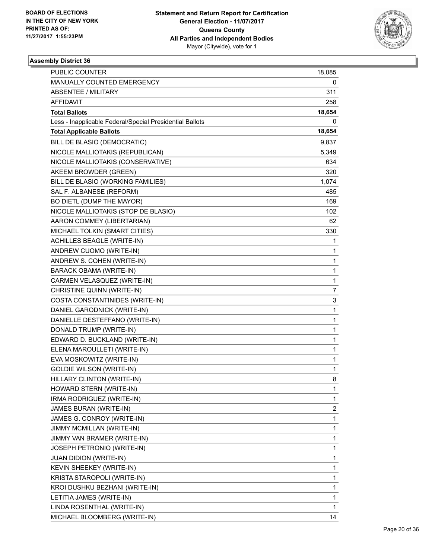

| <b>PUBLIC COUNTER</b>                                    | 18,085 |
|----------------------------------------------------------|--------|
| MANUALLY COUNTED EMERGENCY                               | 0      |
| <b>ABSENTEE / MILITARY</b>                               | 311    |
| AFFIDAVIT                                                | 258    |
| <b>Total Ballots</b>                                     | 18,654 |
| Less - Inapplicable Federal/Special Presidential Ballots | 0      |
| <b>Total Applicable Ballots</b>                          | 18,654 |
| BILL DE BLASIO (DEMOCRATIC)                              | 9,837  |
| NICOLE MALLIOTAKIS (REPUBLICAN)                          | 5,349  |
| NICOLE MALLIOTAKIS (CONSERVATIVE)                        | 634    |
| AKEEM BROWDER (GREEN)                                    | 320    |
| BILL DE BLASIO (WORKING FAMILIES)                        | 1,074  |
| SAL F. ALBANESE (REFORM)                                 | 485    |
| BO DIETL (DUMP THE MAYOR)                                | 169    |
| NICOLE MALLIOTAKIS (STOP DE BLASIO)                      | 102    |
| AARON COMMEY (LIBERTARIAN)                               | 62     |
| MICHAEL TOLKIN (SMART CITIES)                            | 330    |
| <b>ACHILLES BEAGLE (WRITE-IN)</b>                        | 1      |
| ANDREW CUOMO (WRITE-IN)                                  | 1      |
| ANDREW S. COHEN (WRITE-IN)                               | 1      |
| <b>BARACK OBAMA (WRITE-IN)</b>                           | 1      |
| CARMEN VELASQUEZ (WRITE-IN)                              | 1      |
| CHRISTINE QUINN (WRITE-IN)                               | 7      |
| COSTA CONSTANTINIDES (WRITE-IN)                          | 3      |
| DANIEL GARODNICK (WRITE-IN)                              | 1      |
| DANIELLE DESTEFFANO (WRITE-IN)                           | 1      |
| DONALD TRUMP (WRITE-IN)                                  | 1      |
| EDWARD D. BUCKLAND (WRITE-IN)                            | 1      |
| ELENA MAROULLETI (WRITE-IN)                              | 1      |
| EVA MOSKOWITZ (WRITE-IN)                                 | 1      |
| <b>GOLDIE WILSON (WRITE-IN)</b>                          | 1      |
| HILLARY CLINTON (WRITE-IN)                               | 8      |
| HOWARD STERN (WRITE-IN)                                  | 1      |
| IRMA RODRIGUEZ (WRITE-IN)                                | 1      |
| JAMES BURAN (WRITE-IN)                                   | 2      |
| JAMES G. CONROY (WRITE-IN)                               | 1      |
| JIMMY MCMILLAN (WRITE-IN)                                | 1      |
| JIMMY VAN BRAMER (WRITE-IN)                              | 1      |
| JOSEPH PETRONIO (WRITE-IN)                               | 1      |
| JUAN DIDION (WRITE-IN)                                   | 1      |
| KEVIN SHEEKEY (WRITE-IN)                                 | 1      |
| KRISTA STAROPOLI (WRITE-IN)                              | 1      |
| KROI DUSHKU BEZHANI (WRITE-IN)                           | 1      |
| LETITIA JAMES (WRITE-IN)                                 | 1      |
| LINDA ROSENTHAL (WRITE-IN)                               | 1      |
| MICHAEL BLOOMBERG (WRITE-IN)                             | 14     |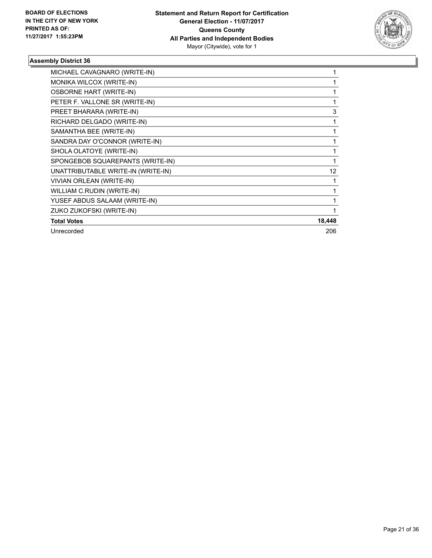

| MICHAEL CAVAGNARO (WRITE-IN)       |        |
|------------------------------------|--------|
| MONIKA WILCOX (WRITE-IN)           |        |
| <b>OSBORNE HART (WRITE-IN)</b>     |        |
| PETER F. VALLONE SR (WRITE-IN)     | 1      |
| PREET BHARARA (WRITE-IN)           | 3      |
| RICHARD DELGADO (WRITE-IN)         |        |
| SAMANTHA BEE (WRITE-IN)            |        |
| SANDRA DAY O'CONNOR (WRITE-IN)     |        |
| SHOLA OLATOYE (WRITE-IN)           |        |
| SPONGEBOB SQUAREPANTS (WRITE-IN)   |        |
| UNATTRIBUTABLE WRITE-IN (WRITE-IN) | 12     |
| VIVIAN ORLEAN (WRITE-IN)           |        |
| WILLIAM C.RUDIN (WRITE-IN)         |        |
| YUSEF ABDUS SALAAM (WRITE-IN)      |        |
| ZUKO ZUKOFSKI (WRITE-IN)           |        |
| <b>Total Votes</b>                 | 18,448 |
| Unrecorded                         | 206    |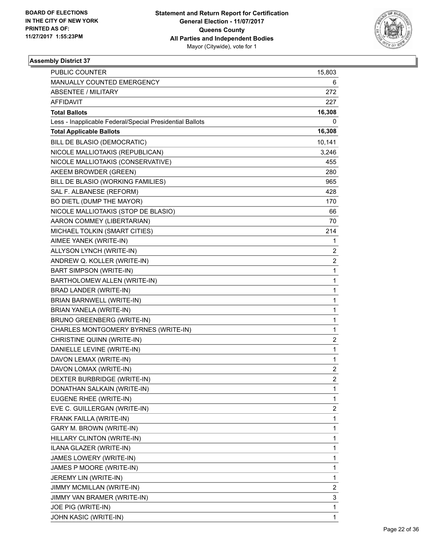

| <b>PUBLIC COUNTER</b>                                    | 15,803         |
|----------------------------------------------------------|----------------|
| MANUALLY COUNTED EMERGENCY                               | 6              |
| <b>ABSENTEE / MILITARY</b>                               | 272            |
| <b>AFFIDAVIT</b>                                         | 227            |
| <b>Total Ballots</b>                                     | 16,308         |
| Less - Inapplicable Federal/Special Presidential Ballots | 0              |
| <b>Total Applicable Ballots</b>                          | 16,308         |
| BILL DE BLASIO (DEMOCRATIC)                              | 10,141         |
| NICOLE MALLIOTAKIS (REPUBLICAN)                          | 3,246          |
| NICOLE MALLIOTAKIS (CONSERVATIVE)                        | 455            |
| AKEEM BROWDER (GREEN)                                    | 280            |
| BILL DE BLASIO (WORKING FAMILIES)                        | 965            |
| SAL F. ALBANESE (REFORM)                                 | 428            |
| BO DIETL (DUMP THE MAYOR)                                | 170            |
| NICOLE MALLIOTAKIS (STOP DE BLASIO)                      | 66             |
| AARON COMMEY (LIBERTARIAN)                               | 70             |
| MICHAEL TOLKIN (SMART CITIES)                            | 214            |
| AIMEE YANEK (WRITE-IN)                                   | 1              |
| ALLYSON LYNCH (WRITE-IN)                                 | 2              |
| ANDREW Q. KOLLER (WRITE-IN)                              | 2              |
| <b>BART SIMPSON (WRITE-IN)</b>                           | 1              |
| BARTHOLOMEW ALLEN (WRITE-IN)                             | 1              |
| BRAD LANDER (WRITE-IN)                                   | 1              |
| BRIAN BARNWELL (WRITE-IN)                                | 1              |
| BRIAN YANELA (WRITE-IN)                                  | 1              |
| BRUNO GREENBERG (WRITE-IN)                               | 1              |
| CHARLES MONTGOMERY BYRNES (WRITE-IN)                     | 1              |
| CHRISTINE QUINN (WRITE-IN)                               | 2              |
| DANIELLE LEVINE (WRITE-IN)                               | 1              |
| DAVON LEMAX (WRITE-IN)                                   | 1              |
| DAVON LOMAX (WRITE-IN)                                   | 2              |
| DEXTER BURBRIDGE (WRITE-IN)                              | $\overline{2}$ |
| DONATHAN SALKAIN (WRITE-IN)                              | 1              |
| EUGENE RHEE (WRITE-IN)                                   | 1              |
| EVE C. GUILLERGAN (WRITE-IN)                             | 2              |
| FRANK FAILLA (WRITE-IN)                                  | 1              |
| GARY M. BROWN (WRITE-IN)                                 | 1              |
| HILLARY CLINTON (WRITE-IN)                               | 1              |
| ILANA GLAZER (WRITE-IN)                                  | 1              |
| JAMES LOWERY (WRITE-IN)                                  | 1              |
| JAMES P MOORE (WRITE-IN)                                 | 1              |
| JEREMY LIN (WRITE-IN)                                    | 1              |
| JIMMY MCMILLAN (WRITE-IN)                                | 2              |
| JIMMY VAN BRAMER (WRITE-IN)                              | 3              |
| JOE PIG (WRITE-IN)                                       | 1              |
| JOHN KASIC (WRITE-IN)                                    | 1              |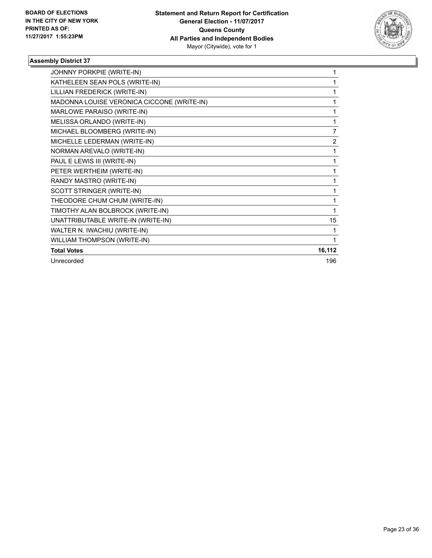

| JOHNNY PORKPIE (WRITE-IN)                  | 1      |
|--------------------------------------------|--------|
| KATHELEEN SEAN POLS (WRITE-IN)             | 1      |
| LILLIAN FREDERICK (WRITE-IN)               | 1      |
| MADONNA LOUISE VERONICA CICCONE (WRITE-IN) | 1      |
| MARLOWE PARAISO (WRITE-IN)                 | 1      |
| MELISSA ORLANDO (WRITE-IN)                 | 1      |
| MICHAEL BLOOMBERG (WRITE-IN)               | 7      |
| MICHELLE LEDERMAN (WRITE-IN)               | 2      |
| NORMAN AREVALO (WRITE-IN)                  | 1      |
| PAUL E LEWIS III (WRITE-IN)                | 1      |
| PETER WERTHEIM (WRITE-IN)                  | 1      |
| RANDY MASTRO (WRITE-IN)                    | 1      |
| SCOTT STRINGER (WRITE-IN)                  | 1      |
| THEODORE CHUM CHUM (WRITE-IN)              | 1      |
| TIMOTHY ALAN BOLBROCK (WRITE-IN)           | 1      |
| UNATTRIBUTABLE WRITE-IN (WRITE-IN)         | 15     |
| WALTER N. IWACHIU (WRITE-IN)               | 1      |
| WILLIAM THOMPSON (WRITE-IN)                | 1      |
| <b>Total Votes</b>                         | 16,112 |
| Unrecorded                                 | 196    |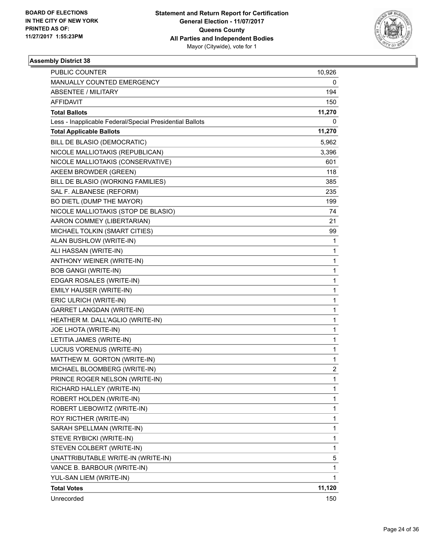

| PUBLIC COUNTER                                           | 10,926      |
|----------------------------------------------------------|-------------|
| MANUALLY COUNTED EMERGENCY                               | 0           |
| <b>ABSENTEE / MILITARY</b>                               | 194         |
| AFFIDAVIT                                                | 150         |
| <b>Total Ballots</b>                                     | 11,270      |
| Less - Inapplicable Federal/Special Presidential Ballots | 0           |
| <b>Total Applicable Ballots</b>                          | 11,270      |
| BILL DE BLASIO (DEMOCRATIC)                              | 5,962       |
| NICOLE MALLIOTAKIS (REPUBLICAN)                          | 3,396       |
| NICOLE MALLIOTAKIS (CONSERVATIVE)                        | 601         |
| AKEEM BROWDER (GREEN)                                    | 118         |
| BILL DE BLASIO (WORKING FAMILIES)                        | 385         |
| SAL F. ALBANESE (REFORM)                                 | 235         |
| BO DIETL (DUMP THE MAYOR)                                | 199         |
| NICOLE MALLIOTAKIS (STOP DE BLASIO)                      | 74          |
| AARON COMMEY (LIBERTARIAN)                               | 21          |
| MICHAEL TOLKIN (SMART CITIES)                            | 99          |
| ALAN BUSHLOW (WRITE-IN)                                  | 1           |
| ALI HASSAN (WRITE-IN)                                    | 1           |
| ANTHONY WEINER (WRITE-IN)                                | 1           |
| <b>BOB GANGI (WRITE-IN)</b>                              | 1           |
| EDGAR ROSALES (WRITE-IN)                                 | 1           |
| EMILY HAUSER (WRITE-IN)                                  | 1           |
| ERIC ULRICH (WRITE-IN)                                   | 1           |
| <b>GARRET LANGDAN (WRITE-IN)</b>                         | 1           |
| HEATHER M. DALL'AGLIO (WRITE-IN)                         | 1           |
| JOE LHOTA (WRITE-IN)                                     | 1           |
| LETITIA JAMES (WRITE-IN)                                 | 1           |
| LUCIUS VORENUS (WRITE-IN)                                | 1           |
| MATTHEW M. GORTON (WRITE-IN)                             | $\mathbf 1$ |
| MICHAEL BLOOMBERG (WRITE-IN)                             | 2           |
| PRINCE ROGER NELSON (WRITE-IN)                           | 1           |
| RICHARD HALLEY (WRITE-IN)                                | 1           |
| ROBERT HOLDEN (WRITE-IN)                                 | 1           |
| ROBERT LIEBOWITZ (WRITE-IN)                              | 1           |
| ROY RICTHER (WRITE-IN)                                   | 1           |
| SARAH SPELLMAN (WRITE-IN)                                | 1           |
| STEVE RYBICKI (WRITE-IN)                                 | 1           |
| STEVEN COLBERT (WRITE-IN)                                | 1           |
| UNATTRIBUTABLE WRITE-IN (WRITE-IN)                       | 5           |
| VANCE B. BARBOUR (WRITE-IN)                              | 1           |
| YUL-SAN LIEM (WRITE-IN)                                  | 1           |
| <b>Total Votes</b>                                       | 11,120      |
| Unrecorded                                               | 150         |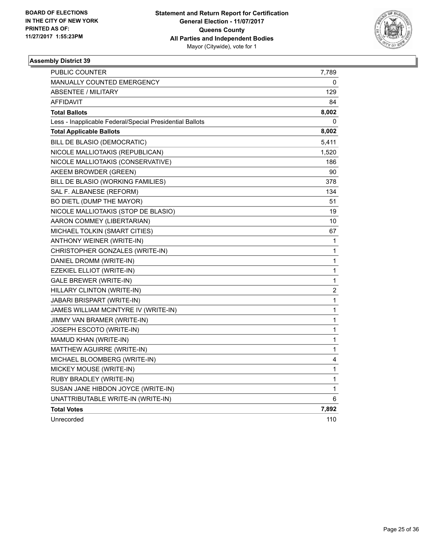

| PUBLIC COUNTER                                           | 7,789                   |
|----------------------------------------------------------|-------------------------|
| <b>MANUALLY COUNTED EMERGENCY</b>                        | 0                       |
| <b>ABSENTEE / MILITARY</b>                               | 129                     |
| AFFIDAVIT                                                | 84                      |
| <b>Total Ballots</b>                                     | 8,002                   |
| Less - Inapplicable Federal/Special Presidential Ballots | 0                       |
| <b>Total Applicable Ballots</b>                          | 8,002                   |
| BILL DE BLASIO (DEMOCRATIC)                              | 5,411                   |
| NICOLE MALLIOTAKIS (REPUBLICAN)                          | 1,520                   |
| NICOLE MALLIOTAKIS (CONSERVATIVE)                        | 186                     |
| AKEEM BROWDER (GREEN)                                    | 90                      |
| BILL DE BLASIO (WORKING FAMILIES)                        | 378                     |
| SAL F. ALBANESE (REFORM)                                 | 134                     |
| BO DIETL (DUMP THE MAYOR)                                | 51                      |
| NICOLE MALLIOTAKIS (STOP DE BLASIO)                      | 19                      |
| AARON COMMEY (LIBERTARIAN)                               | 10                      |
| MICHAEL TOLKIN (SMART CITIES)                            | 67                      |
| ANTHONY WEINER (WRITE-IN)                                | 1                       |
| CHRISTOPHER GONZALES (WRITE-IN)                          | 1                       |
| DANIEL DROMM (WRITE-IN)                                  | 1                       |
| EZEKIEL ELLIOT (WRITE-IN)                                | 1                       |
| <b>GALE BREWER (WRITE-IN)</b>                            | 1                       |
| HILLARY CLINTON (WRITE-IN)                               | $\overline{\mathbf{c}}$ |
| JABARI BRISPART (WRITE-IN)                               | 1                       |
| JAMES WILLIAM MCINTYRE IV (WRITE-IN)                     | 1                       |
| JIMMY VAN BRAMER (WRITE-IN)                              | 1                       |
| JOSEPH ESCOTO (WRITE-IN)                                 | 1                       |
| MAMUD KHAN (WRITE-IN)                                    | 1                       |
| MATTHEW AGUIRRE (WRITE-IN)                               | 1                       |
| MICHAEL BLOOMBERG (WRITE-IN)                             | 4                       |
| MICKEY MOUSE (WRITE-IN)                                  | 1                       |
| RUBY BRADLEY (WRITE-IN)                                  | 1                       |
| SUSAN JANE HIBDON JOYCE (WRITE-IN)                       | 1                       |
| UNATTRIBUTABLE WRITE-IN (WRITE-IN)                       | 6                       |
| <b>Total Votes</b>                                       | 7,892                   |
| Unrecorded                                               | 110                     |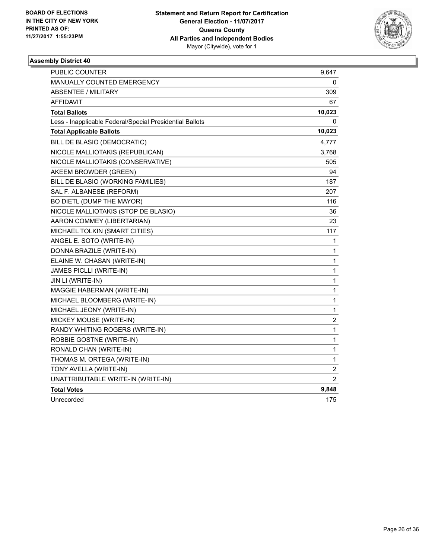

| <b>PUBLIC COUNTER</b>                                    | 9,647            |
|----------------------------------------------------------|------------------|
| MANUALLY COUNTED EMERGENCY                               | 0                |
| <b>ABSENTEE / MILITARY</b>                               | 309              |
| <b>AFFIDAVIT</b>                                         | 67               |
| <b>Total Ballots</b>                                     | 10,023           |
| Less - Inapplicable Federal/Special Presidential Ballots | 0                |
| <b>Total Applicable Ballots</b>                          | 10,023           |
| BILL DE BLASIO (DEMOCRATIC)                              | 4,777            |
| NICOLE MALLIOTAKIS (REPUBLICAN)                          | 3,768            |
| NICOLE MALLIOTAKIS (CONSERVATIVE)                        | 505              |
| AKEEM BROWDER (GREEN)                                    | 94               |
| BILL DE BLASIO (WORKING FAMILIES)                        | 187              |
| SAL F. ALBANESE (REFORM)                                 | 207              |
| BO DIETL (DUMP THE MAYOR)                                | 116              |
| NICOLE MALLIOTAKIS (STOP DE BLASIO)                      | 36               |
| AARON COMMEY (LIBERTARIAN)                               | 23               |
| MICHAEL TOLKIN (SMART CITIES)                            | 117              |
| ANGEL E. SOTO (WRITE-IN)                                 | 1                |
| DONNA BRAZILE (WRITE-IN)                                 | 1                |
| ELAINE W. CHASAN (WRITE-IN)                              | 1                |
| JAMES PICLLI (WRITE-IN)                                  | $\mathbf 1$      |
| JIN LI (WRITE-IN)                                        | 1                |
| MAGGIE HABERMAN (WRITE-IN)                               | 1                |
| MICHAEL BLOOMBERG (WRITE-IN)                             | $\mathbf 1$      |
| MICHAEL JEONY (WRITE-IN)                                 | 1                |
| MICKEY MOUSE (WRITE-IN)                                  | $\boldsymbol{2}$ |
| RANDY WHITING ROGERS (WRITE-IN)                          | $\mathbf 1$      |
| ROBBIE GOSTNE (WRITE-IN)                                 | 1                |
| RONALD CHAN (WRITE-IN)                                   | 1                |
| THOMAS M. ORTEGA (WRITE-IN)                              | 1                |
| TONY AVELLA (WRITE-IN)                                   | $\overline{2}$   |
| UNATTRIBUTABLE WRITE-IN (WRITE-IN)                       | 2                |
| <b>Total Votes</b>                                       | 9,848            |
| Unrecorded                                               | 175              |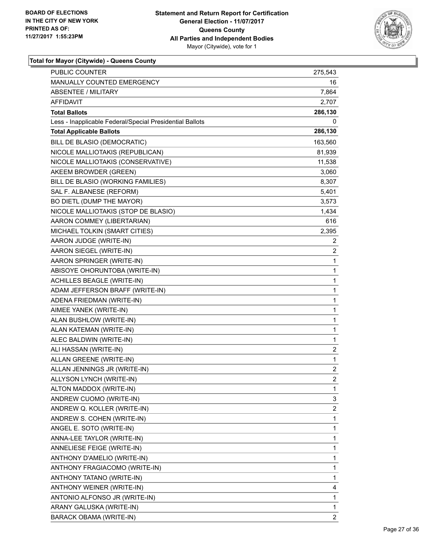

| <b>PUBLIC COUNTER</b>                                    | 275,543                 |
|----------------------------------------------------------|-------------------------|
| MANUALLY COUNTED EMERGENCY                               | 16                      |
| <b>ABSENTEE / MILITARY</b>                               | 7,864                   |
| AFFIDAVIT                                                | 2,707                   |
| <b>Total Ballots</b>                                     | 286,130                 |
| Less - Inapplicable Federal/Special Presidential Ballots | 0                       |
| <b>Total Applicable Ballots</b>                          | 286,130                 |
| BILL DE BLASIO (DEMOCRATIC)                              | 163,560                 |
| NICOLE MALLIOTAKIS (REPUBLICAN)                          | 81,939                  |
| NICOLE MALLIOTAKIS (CONSERVATIVE)                        | 11,538                  |
| AKEEM BROWDER (GREEN)                                    | 3,060                   |
| BILL DE BLASIO (WORKING FAMILIES)                        | 8,307                   |
| SAL F. ALBANESE (REFORM)                                 | 5,401                   |
| BO DIETL (DUMP THE MAYOR)                                | 3,573                   |
| NICOLE MALLIOTAKIS (STOP DE BLASIO)                      | 1,434                   |
| AARON COMMEY (LIBERTARIAN)                               | 616                     |
| MICHAEL TOLKIN (SMART CITIES)                            | 2,395                   |
| AARON JUDGE (WRITE-IN)                                   | 2                       |
| AARON SIEGEL (WRITE-IN)                                  | 2                       |
| AARON SPRINGER (WRITE-IN)                                | $\mathbf{1}$            |
| ABISOYE OHORUNTOBA (WRITE-IN)                            | 1                       |
| <b>ACHILLES BEAGLE (WRITE-IN)</b>                        | 1                       |
| ADAM JEFFERSON BRAFF (WRITE-IN)                          | 1                       |
| ADENA FRIEDMAN (WRITE-IN)                                | 1                       |
| AIMEE YANEK (WRITE-IN)                                   | 1                       |
| ALAN BUSHLOW (WRITE-IN)                                  | 1                       |
| ALAN KATEMAN (WRITE-IN)                                  | 1                       |
| ALEC BALDWIN (WRITE-IN)                                  | 1                       |
| ALI HASSAN (WRITE-IN)                                    | $\overline{\mathbf{c}}$ |
| ALLAN GREENE (WRITE-IN)                                  | $\mathbf{1}$            |
| ALLAN JENNINGS JR (WRITE-IN)                             | 2                       |
| ALLYSON LYNCH (WRITE-IN)                                 | $\overline{c}$          |
| ALTON MADDOX (WRITE-IN)                                  | 1                       |
| ANDREW CUOMO (WRITE-IN)                                  | 3                       |
| ANDREW Q. KOLLER (WRITE-IN)                              | $\overline{\mathbf{c}}$ |
| ANDREW S. COHEN (WRITE-IN)                               | 1                       |
| ANGEL E. SOTO (WRITE-IN)                                 | 1                       |
| ANNA-LEE TAYLOR (WRITE-IN)                               | 1                       |
| ANNELIESE FEIGE (WRITE-IN)                               | 1                       |
| ANTHONY D'AMELIO (WRITE-IN)                              | 1                       |
| ANTHONY FRAGIACOMO (WRITE-IN)                            | 1                       |
| ANTHONY TATANO (WRITE-IN)                                | 1                       |
| ANTHONY WEINER (WRITE-IN)                                | 4                       |
| ANTONIO ALFONSO JR (WRITE-IN)                            | 1                       |
| ARANY GALUSKA (WRITE-IN)                                 | 1                       |
| BARACK OBAMA (WRITE-IN)                                  | $\overline{2}$          |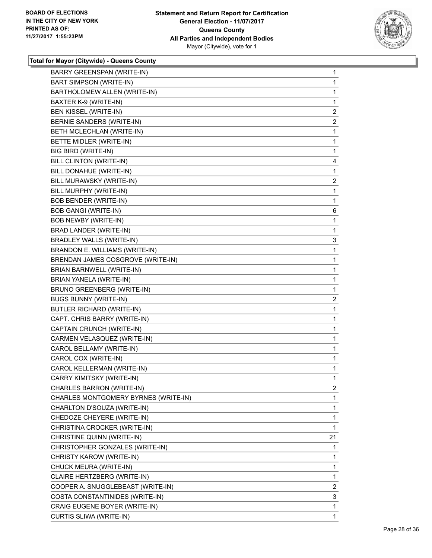

| <b>BART SIMPSON (WRITE-IN)</b><br>BARTHOLOMEW ALLEN (WRITE-IN)<br>BAXTER K-9 (WRITE-IN)<br>BEN KISSEL (WRITE-IN)<br>BERNIE SANDERS (WRITE-IN)<br>BETH MCLECHLAN (WRITE-IN)<br>BETTE MIDLER (WRITE-IN)<br>BIG BIRD (WRITE-IN)<br>BILL CLINTON (WRITE-IN)<br>BILL DONAHUE (WRITE-IN)<br>BILL MURAWSKY (WRITE-IN)<br>BILL MURPHY (WRITE-IN)<br><b>BOB BENDER (WRITE-IN)</b><br><b>BOB GANGI (WRITE-IN)</b><br><b>BOB NEWBY (WRITE-IN)</b><br>BRAD LANDER (WRITE-IN)<br><b>BRADLEY WALLS (WRITE-IN)</b><br>BRANDON E. WILLIAMS (WRITE-IN)<br>BRENDAN JAMES COSGROVE (WRITE-IN)<br><b>BRIAN BARNWELL (WRITE-IN)</b><br>BRIAN YANELA (WRITE-IN)<br>BRUNO GREENBERG (WRITE-IN)<br><b>BUGS BUNNY (WRITE-IN)</b><br><b>BUTLER RICHARD (WRITE-IN)</b><br>CAPT. CHRIS BARRY (WRITE-IN)<br>CAPTAIN CRUNCH (WRITE-IN)<br>CARMEN VELASQUEZ (WRITE-IN)<br>CAROL BELLAMY (WRITE-IN)<br>CAROL COX (WRITE-IN)<br>CAROL KELLERMAN (WRITE-IN)<br>CARRY KIMITSKY (WRITE-IN)<br>CHARLES BARRON (WRITE-IN)<br>CHARLES MONTGOMERY BYRNES (WRITE-IN)<br>CHARLTON D'SOUZA (WRITE-IN)<br>CHEDOZE CHEYERE (WRITE-IN)<br>CHRISTINA CROCKER (WRITE-IN)<br>CHRISTINE QUINN (WRITE-IN)<br>CHRISTOPHER GONZALES (WRITE-IN)<br>CHRISTY KAROW (WRITE-IN)<br>CHUCK MEURA (WRITE-IN)<br>CLAIRE HERTZBERG (WRITE-IN)<br>COOPER A. SNUGGLEBEAST (WRITE-IN)<br>COSTA CONSTANTINIDES (WRITE-IN)<br>CRAIG EUGENE BOYER (WRITE-IN) | <b>BARRY GREENSPAN (WRITE-IN)</b> | 1              |
|-----------------------------------------------------------------------------------------------------------------------------------------------------------------------------------------------------------------------------------------------------------------------------------------------------------------------------------------------------------------------------------------------------------------------------------------------------------------------------------------------------------------------------------------------------------------------------------------------------------------------------------------------------------------------------------------------------------------------------------------------------------------------------------------------------------------------------------------------------------------------------------------------------------------------------------------------------------------------------------------------------------------------------------------------------------------------------------------------------------------------------------------------------------------------------------------------------------------------------------------------------------------------------------------------------------------------------------------------------------------------------------------|-----------------------------------|----------------|
|                                                                                                                                                                                                                                                                                                                                                                                                                                                                                                                                                                                                                                                                                                                                                                                                                                                                                                                                                                                                                                                                                                                                                                                                                                                                                                                                                                                         |                                   | 1              |
|                                                                                                                                                                                                                                                                                                                                                                                                                                                                                                                                                                                                                                                                                                                                                                                                                                                                                                                                                                                                                                                                                                                                                                                                                                                                                                                                                                                         |                                   | 1              |
|                                                                                                                                                                                                                                                                                                                                                                                                                                                                                                                                                                                                                                                                                                                                                                                                                                                                                                                                                                                                                                                                                                                                                                                                                                                                                                                                                                                         |                                   | 1              |
|                                                                                                                                                                                                                                                                                                                                                                                                                                                                                                                                                                                                                                                                                                                                                                                                                                                                                                                                                                                                                                                                                                                                                                                                                                                                                                                                                                                         |                                   | $\overline{c}$ |
|                                                                                                                                                                                                                                                                                                                                                                                                                                                                                                                                                                                                                                                                                                                                                                                                                                                                                                                                                                                                                                                                                                                                                                                                                                                                                                                                                                                         |                                   | 2              |
|                                                                                                                                                                                                                                                                                                                                                                                                                                                                                                                                                                                                                                                                                                                                                                                                                                                                                                                                                                                                                                                                                                                                                                                                                                                                                                                                                                                         |                                   | 1              |
|                                                                                                                                                                                                                                                                                                                                                                                                                                                                                                                                                                                                                                                                                                                                                                                                                                                                                                                                                                                                                                                                                                                                                                                                                                                                                                                                                                                         |                                   | 1              |
|                                                                                                                                                                                                                                                                                                                                                                                                                                                                                                                                                                                                                                                                                                                                                                                                                                                                                                                                                                                                                                                                                                                                                                                                                                                                                                                                                                                         |                                   | 1              |
|                                                                                                                                                                                                                                                                                                                                                                                                                                                                                                                                                                                                                                                                                                                                                                                                                                                                                                                                                                                                                                                                                                                                                                                                                                                                                                                                                                                         |                                   | 4              |
|                                                                                                                                                                                                                                                                                                                                                                                                                                                                                                                                                                                                                                                                                                                                                                                                                                                                                                                                                                                                                                                                                                                                                                                                                                                                                                                                                                                         |                                   | 1              |
|                                                                                                                                                                                                                                                                                                                                                                                                                                                                                                                                                                                                                                                                                                                                                                                                                                                                                                                                                                                                                                                                                                                                                                                                                                                                                                                                                                                         |                                   | 2              |
|                                                                                                                                                                                                                                                                                                                                                                                                                                                                                                                                                                                                                                                                                                                                                                                                                                                                                                                                                                                                                                                                                                                                                                                                                                                                                                                                                                                         |                                   | 1              |
|                                                                                                                                                                                                                                                                                                                                                                                                                                                                                                                                                                                                                                                                                                                                                                                                                                                                                                                                                                                                                                                                                                                                                                                                                                                                                                                                                                                         |                                   | 1              |
|                                                                                                                                                                                                                                                                                                                                                                                                                                                                                                                                                                                                                                                                                                                                                                                                                                                                                                                                                                                                                                                                                                                                                                                                                                                                                                                                                                                         |                                   | 6              |
|                                                                                                                                                                                                                                                                                                                                                                                                                                                                                                                                                                                                                                                                                                                                                                                                                                                                                                                                                                                                                                                                                                                                                                                                                                                                                                                                                                                         |                                   | 1              |
|                                                                                                                                                                                                                                                                                                                                                                                                                                                                                                                                                                                                                                                                                                                                                                                                                                                                                                                                                                                                                                                                                                                                                                                                                                                                                                                                                                                         |                                   | 1              |
|                                                                                                                                                                                                                                                                                                                                                                                                                                                                                                                                                                                                                                                                                                                                                                                                                                                                                                                                                                                                                                                                                                                                                                                                                                                                                                                                                                                         |                                   | 3              |
|                                                                                                                                                                                                                                                                                                                                                                                                                                                                                                                                                                                                                                                                                                                                                                                                                                                                                                                                                                                                                                                                                                                                                                                                                                                                                                                                                                                         |                                   | 1              |
|                                                                                                                                                                                                                                                                                                                                                                                                                                                                                                                                                                                                                                                                                                                                                                                                                                                                                                                                                                                                                                                                                                                                                                                                                                                                                                                                                                                         |                                   | 1              |
|                                                                                                                                                                                                                                                                                                                                                                                                                                                                                                                                                                                                                                                                                                                                                                                                                                                                                                                                                                                                                                                                                                                                                                                                                                                                                                                                                                                         |                                   | 1              |
|                                                                                                                                                                                                                                                                                                                                                                                                                                                                                                                                                                                                                                                                                                                                                                                                                                                                                                                                                                                                                                                                                                                                                                                                                                                                                                                                                                                         |                                   | 1              |
|                                                                                                                                                                                                                                                                                                                                                                                                                                                                                                                                                                                                                                                                                                                                                                                                                                                                                                                                                                                                                                                                                                                                                                                                                                                                                                                                                                                         |                                   | 1              |
|                                                                                                                                                                                                                                                                                                                                                                                                                                                                                                                                                                                                                                                                                                                                                                                                                                                                                                                                                                                                                                                                                                                                                                                                                                                                                                                                                                                         |                                   | 2              |
|                                                                                                                                                                                                                                                                                                                                                                                                                                                                                                                                                                                                                                                                                                                                                                                                                                                                                                                                                                                                                                                                                                                                                                                                                                                                                                                                                                                         |                                   | 1              |
|                                                                                                                                                                                                                                                                                                                                                                                                                                                                                                                                                                                                                                                                                                                                                                                                                                                                                                                                                                                                                                                                                                                                                                                                                                                                                                                                                                                         |                                   | 1              |
|                                                                                                                                                                                                                                                                                                                                                                                                                                                                                                                                                                                                                                                                                                                                                                                                                                                                                                                                                                                                                                                                                                                                                                                                                                                                                                                                                                                         |                                   | 1              |
|                                                                                                                                                                                                                                                                                                                                                                                                                                                                                                                                                                                                                                                                                                                                                                                                                                                                                                                                                                                                                                                                                                                                                                                                                                                                                                                                                                                         |                                   | 1              |
|                                                                                                                                                                                                                                                                                                                                                                                                                                                                                                                                                                                                                                                                                                                                                                                                                                                                                                                                                                                                                                                                                                                                                                                                                                                                                                                                                                                         |                                   | 1              |
|                                                                                                                                                                                                                                                                                                                                                                                                                                                                                                                                                                                                                                                                                                                                                                                                                                                                                                                                                                                                                                                                                                                                                                                                                                                                                                                                                                                         |                                   | 1              |
|                                                                                                                                                                                                                                                                                                                                                                                                                                                                                                                                                                                                                                                                                                                                                                                                                                                                                                                                                                                                                                                                                                                                                                                                                                                                                                                                                                                         |                                   | 1              |
|                                                                                                                                                                                                                                                                                                                                                                                                                                                                                                                                                                                                                                                                                                                                                                                                                                                                                                                                                                                                                                                                                                                                                                                                                                                                                                                                                                                         |                                   | 1              |
|                                                                                                                                                                                                                                                                                                                                                                                                                                                                                                                                                                                                                                                                                                                                                                                                                                                                                                                                                                                                                                                                                                                                                                                                                                                                                                                                                                                         |                                   | 2              |
|                                                                                                                                                                                                                                                                                                                                                                                                                                                                                                                                                                                                                                                                                                                                                                                                                                                                                                                                                                                                                                                                                                                                                                                                                                                                                                                                                                                         |                                   | 1              |
|                                                                                                                                                                                                                                                                                                                                                                                                                                                                                                                                                                                                                                                                                                                                                                                                                                                                                                                                                                                                                                                                                                                                                                                                                                                                                                                                                                                         |                                   | 1              |
|                                                                                                                                                                                                                                                                                                                                                                                                                                                                                                                                                                                                                                                                                                                                                                                                                                                                                                                                                                                                                                                                                                                                                                                                                                                                                                                                                                                         |                                   | 1              |
|                                                                                                                                                                                                                                                                                                                                                                                                                                                                                                                                                                                                                                                                                                                                                                                                                                                                                                                                                                                                                                                                                                                                                                                                                                                                                                                                                                                         |                                   | 1              |
|                                                                                                                                                                                                                                                                                                                                                                                                                                                                                                                                                                                                                                                                                                                                                                                                                                                                                                                                                                                                                                                                                                                                                                                                                                                                                                                                                                                         |                                   | 21             |
|                                                                                                                                                                                                                                                                                                                                                                                                                                                                                                                                                                                                                                                                                                                                                                                                                                                                                                                                                                                                                                                                                                                                                                                                                                                                                                                                                                                         |                                   | 1              |
|                                                                                                                                                                                                                                                                                                                                                                                                                                                                                                                                                                                                                                                                                                                                                                                                                                                                                                                                                                                                                                                                                                                                                                                                                                                                                                                                                                                         |                                   | 1              |
|                                                                                                                                                                                                                                                                                                                                                                                                                                                                                                                                                                                                                                                                                                                                                                                                                                                                                                                                                                                                                                                                                                                                                                                                                                                                                                                                                                                         |                                   | 1              |
|                                                                                                                                                                                                                                                                                                                                                                                                                                                                                                                                                                                                                                                                                                                                                                                                                                                                                                                                                                                                                                                                                                                                                                                                                                                                                                                                                                                         |                                   | 1              |
|                                                                                                                                                                                                                                                                                                                                                                                                                                                                                                                                                                                                                                                                                                                                                                                                                                                                                                                                                                                                                                                                                                                                                                                                                                                                                                                                                                                         |                                   | 2              |
|                                                                                                                                                                                                                                                                                                                                                                                                                                                                                                                                                                                                                                                                                                                                                                                                                                                                                                                                                                                                                                                                                                                                                                                                                                                                                                                                                                                         |                                   | 3              |
|                                                                                                                                                                                                                                                                                                                                                                                                                                                                                                                                                                                                                                                                                                                                                                                                                                                                                                                                                                                                                                                                                                                                                                                                                                                                                                                                                                                         |                                   | 1              |
|                                                                                                                                                                                                                                                                                                                                                                                                                                                                                                                                                                                                                                                                                                                                                                                                                                                                                                                                                                                                                                                                                                                                                                                                                                                                                                                                                                                         | CURTIS SLIWA (WRITE-IN)           | 1              |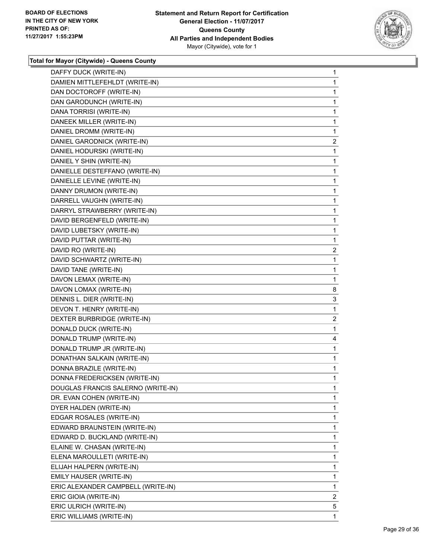

| DAFFY DUCK (WRITE-IN)              | 1            |
|------------------------------------|--------------|
| DAMIEN MITTLEFEHLDT (WRITE-IN)     | 1            |
| DAN DOCTOROFF (WRITE-IN)           | 1            |
| DAN GARODUNCH (WRITE-IN)           | 1            |
| DANA TORRISI (WRITE-IN)            | 1            |
| DANEEK MILLER (WRITE-IN)           | 1            |
| DANIEL DROMM (WRITE-IN)            | 1            |
| DANIEL GARODNICK (WRITE-IN)        | $\mathbf{2}$ |
| DANIEL HODURSKI (WRITE-IN)         | 1            |
| DANIEL Y SHIN (WRITE-IN)           | 1            |
| DANIELLE DESTEFFANO (WRITE-IN)     | 1            |
| DANIELLE LEVINE (WRITE-IN)         | 1            |
| DANNY DRUMON (WRITE-IN)            | 1            |
| DARRELL VAUGHN (WRITE-IN)          | 1            |
| DARRYL STRAWBERRY (WRITE-IN)       | 1            |
| DAVID BERGENFELD (WRITE-IN)        | 1            |
| DAVID LUBETSKY (WRITE-IN)          | 1            |
| DAVID PUTTAR (WRITE-IN)            | 1            |
| DAVID RO (WRITE-IN)                | 2            |
| DAVID SCHWARTZ (WRITE-IN)          | 1            |
| DAVID TANE (WRITE-IN)              | 1            |
| DAVON LEMAX (WRITE-IN)             | 1            |
| DAVON LOMAX (WRITE-IN)             | 8            |
| DENNIS L. DIER (WRITE-IN)          | 3            |
| DEVON T. HENRY (WRITE-IN)          | 1            |
| DEXTER BURBRIDGE (WRITE-IN)        | 2            |
| DONALD DUCK (WRITE-IN)             | 1            |
| DONALD TRUMP (WRITE-IN)            | 4            |
| DONALD TRUMP JR (WRITE-IN)         | 1            |
| DONATHAN SALKAIN (WRITE-IN)        | 1            |
| DONNA BRAZILE (WRITE-IN)           | 1            |
| DONNA FREDERICKSEN (WRITE-IN)      | 1            |
| DOUGLAS FRANCIS SALERNO (WRITE-IN) | 1            |
| DR. EVAN COHEN (WRITE-IN)          | 1            |
| DYER HALDEN (WRITE-IN)             | 1            |
| EDGAR ROSALES (WRITE-IN)           | 1            |
| EDWARD BRAUNSTEIN (WRITE-IN)       | 1            |
| EDWARD D. BUCKLAND (WRITE-IN)      | 1            |
| ELAINE W. CHASAN (WRITE-IN)        | 1            |
| ELENA MAROULLETI (WRITE-IN)        | 1            |
| ELIJAH HALPERN (WRITE-IN)          | 1            |
| EMILY HAUSER (WRITE-IN)            | 1            |
| ERIC ALEXANDER CAMPBELL (WRITE-IN) | 1            |
| ERIC GIOIA (WRITE-IN)              | $\mathbf{2}$ |
| ERIC ULRICH (WRITE-IN)             | 5            |
| ERIC WILLIAMS (WRITE-IN)           | 1            |
|                                    |              |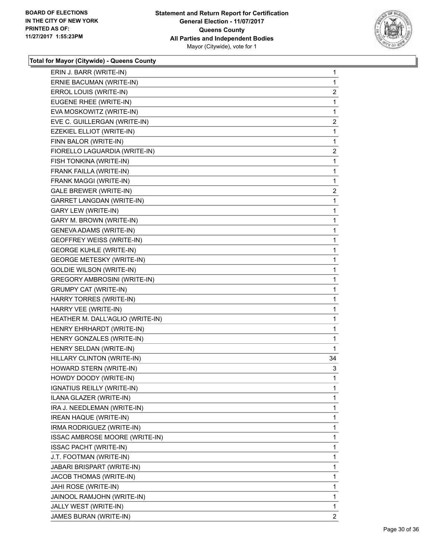

| ERIN J. BARR (WRITE-IN)             | 1                       |
|-------------------------------------|-------------------------|
| ERNIE BACUMAN (WRITE-IN)            | 1                       |
| ERROL LOUIS (WRITE-IN)              | $\overline{\mathbf{c}}$ |
| EUGENE RHEE (WRITE-IN)              | 1                       |
| EVA MOSKOWITZ (WRITE-IN)            | 1                       |
| EVE C. GUILLERGAN (WRITE-IN)        | $\overline{\mathbf{c}}$ |
| EZEKIEL ELLIOT (WRITE-IN)           | 1                       |
| FINN BALOR (WRITE-IN)               | 1                       |
| FIORELLO LAGUARDIA (WRITE-IN)       | $\overline{\mathbf{c}}$ |
| FISH TONKINA (WRITE-IN)             | 1                       |
| FRANK FAILLA (WRITE-IN)             | 1                       |
| FRANK MAGGI (WRITE-IN)              | 1                       |
| <b>GALE BREWER (WRITE-IN)</b>       | 2                       |
| GARRET LANGDAN (WRITE-IN)           | 1                       |
| <b>GARY LEW (WRITE-IN)</b>          | $\mathbf{1}$            |
| GARY M. BROWN (WRITE-IN)            | 1                       |
| <b>GENEVA ADAMS (WRITE-IN)</b>      | 1                       |
| <b>GEOFFREY WEISS (WRITE-IN)</b>    | 1                       |
| <b>GEORGE KUHLE (WRITE-IN)</b>      | 1                       |
| <b>GEORGE METESKY (WRITE-IN)</b>    | 1                       |
| <b>GOLDIE WILSON (WRITE-IN)</b>     | $\mathbf{1}$            |
| <b>GREGORY AMBROSINI (WRITE-IN)</b> | 1                       |
| <b>GRUMPY CAT (WRITE-IN)</b>        | 1                       |
| HARRY TORRES (WRITE-IN)             | 1                       |
| HARRY VEE (WRITE-IN)                | 1                       |
| HEATHER M. DALL'AGLIO (WRITE-IN)    | 1                       |
| HENRY EHRHARDT (WRITE-IN)           | $\mathbf{1}$            |
| HENRY GONZALES (WRITE-IN)           | 1                       |
| HENRY SELDAN (WRITE-IN)             | 1                       |
| HILLARY CLINTON (WRITE-IN)          | 34                      |
| HOWARD STERN (WRITE-IN)             | 3                       |
| HOWDY DOODY (WRITE-IN)              | 1                       |
| IGNATIUS REILLY (WRITE-IN)          | 1                       |
| ILANA GLAZER (WRITE-IN)             | 1                       |
| IRA J. NEEDLEMAN (WRITE-IN)         | 1                       |
| <b>IREAN HAQUE (WRITE-IN)</b>       | 1                       |
| IRMA RODRIGUEZ (WRITE-IN)           | 1                       |
| ISSAC AMBROSE MOORE (WRITE-IN)      | 1                       |
| <b>ISSAC PACHT (WRITE-IN)</b>       | 1                       |
| J.T. FOOTMAN (WRITE-IN)             | 1                       |
| JABARI BRISPART (WRITE-IN)          | 1                       |
| JACOB THOMAS (WRITE-IN)             | 1                       |
| JAHI ROSE (WRITE-IN)                | 1                       |
| JAINOOL RAMJOHN (WRITE-IN)          | 1                       |
| JALLY WEST (WRITE-IN)               | $\mathbf{1}$            |
| JAMES BURAN (WRITE-IN)              | $\overline{2}$          |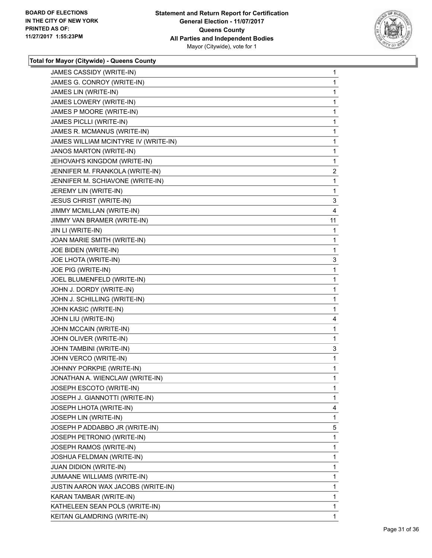

| JAMES CASSIDY (WRITE-IN)             | 1              |
|--------------------------------------|----------------|
| JAMES G. CONROY (WRITE-IN)           | 1              |
| JAMES LIN (WRITE-IN)                 | 1              |
| JAMES LOWERY (WRITE-IN)              | 1              |
| JAMES P MOORE (WRITE-IN)             | 1              |
| JAMES PICLLI (WRITE-IN)              | 1              |
| JAMES R. MCMANUS (WRITE-IN)          | 1              |
| JAMES WILLIAM MCINTYRE IV (WRITE-IN) | 1              |
| JANOS MARTON (WRITE-IN)              | 1              |
| JEHOVAH'S KINGDOM (WRITE-IN)         | 1              |
| JENNIFER M. FRANKOLA (WRITE-IN)      | $\overline{2}$ |
| JENNIFER M. SCHIAVONE (WRITE-IN)     | 1              |
| JEREMY LIN (WRITE-IN)                | 1              |
| <b>JESUS CHRIST (WRITE-IN)</b>       | 3              |
| JIMMY MCMILLAN (WRITE-IN)            | 4              |
| JIMMY VAN BRAMER (WRITE-IN)          | 11             |
| JIN LI (WRITE-IN)                    | 1              |
| JOAN MARIE SMITH (WRITE-IN)          | 1              |
| JOE BIDEN (WRITE-IN)                 | 1              |
| JOE LHOTA (WRITE-IN)                 | 3              |
| JOE PIG (WRITE-IN)                   | 1              |
| JOEL BLUMENFELD (WRITE-IN)           | 1              |
| JOHN J. DORDY (WRITE-IN)             | 1              |
| JOHN J. SCHILLING (WRITE-IN)         | 1              |
| JOHN KASIC (WRITE-IN)                | 1              |
| JOHN LIU (WRITE-IN)                  | 4              |
| JOHN MCCAIN (WRITE-IN)               | 1              |
| JOHN OLIVER (WRITE-IN)               | 1              |
| JOHN TAMBINI (WRITE-IN)              | 3              |
| JOHN VERCO (WRITE-IN)                | 1              |
| JOHNNY PORKPIE (WRITE-IN)            | 1              |
| JONATHAN A. WIENCLAW (WRITE-IN)      | 1              |
| JOSEPH ESCOTO (WRITE-IN)             | 1              |
| JOSEPH J. GIANNOTTI (WRITE-IN)       | $\mathbf{1}$   |
| JOSEPH LHOTA (WRITE-IN)              | 4              |
| JOSEPH LIN (WRITE-IN)                | 1              |
| JOSEPH P ADDABBO JR (WRITE-IN)       | 5              |
| JOSEPH PETRONIO (WRITE-IN)           | 1              |
| JOSEPH RAMOS (WRITE-IN)              | 1              |
| JOSHUA FELDMAN (WRITE-IN)            | 1              |
| <b>JUAN DIDION (WRITE-IN)</b>        | 1              |
| JUMAANE WILLIAMS (WRITE-IN)          | 1              |
| JUSTIN AARON WAX JACOBS (WRITE-IN)   | 1              |
| KARAN TAMBAR (WRITE-IN)              | 1              |
| KATHELEEN SEAN POLS (WRITE-IN)       | 1              |
| KEITAN GLAMDRING (WRITE-IN)          | $\mathbf 1$    |
|                                      |                |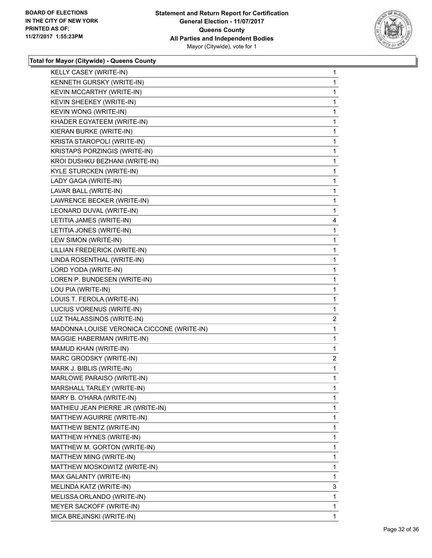

| KELLY CASEY (WRITE-IN)                     | $\mathbf{1}$ |
|--------------------------------------------|--------------|
| KENNETH GURSKY (WRITE-IN)                  | 1            |
| KEVIN MCCARTHY (WRITE-IN)                  | 1            |
| KEVIN SHEEKEY (WRITE-IN)                   | 1            |
| KEVIN WONG (WRITE-IN)                      | 1            |
| KHADER EGYATEEM (WRITE-IN)                 | 1            |
| KIERAN BURKE (WRITE-IN)                    | 1            |
| KRISTA STAROPOLI (WRITE-IN)                | 1            |
| KRISTAPS PORZINGIS (WRITE-IN)              | 1            |
| KROI DUSHKU BEZHANI (WRITE-IN)             | 1            |
| KYLE STURCKEN (WRITE-IN)                   | 1            |
| LADY GAGA (WRITE-IN)                       | 1            |
| LAVAR BALL (WRITE-IN)                      | 1            |
| LAWRENCE BECKER (WRITE-IN)                 | 1            |
| LEONARD DUVAL (WRITE-IN)                   | 1            |
| LETITIA JAMES (WRITE-IN)                   | 4            |
| LETITIA JONES (WRITE-IN)                   | 1            |
| LEW SIMON (WRITE-IN)                       | 1            |
| LILLIAN FREDERICK (WRITE-IN)               | 1            |
| LINDA ROSENTHAL (WRITE-IN)                 | 1            |
| LORD YODA (WRITE-IN)                       | 1            |
| LOREN P. BUNDESEN (WRITE-IN)               | $\mathbf{1}$ |
| LOU PIA (WRITE-IN)                         | 1            |
|                                            |              |
| LOUIS T. FEROLA (WRITE-IN)                 | 1            |
| LUCIUS VORENUS (WRITE-IN)                  | 1            |
| LUZ THALASSINOS (WRITE-IN)                 | 2            |
| MADONNA LOUISE VERONICA CICCONE (WRITE-IN) | 1            |
| MAGGIE HABERMAN (WRITE-IN)                 | $\mathbf{1}$ |
| MAMUD KHAN (WRITE-IN)                      | 1            |
| MARC GRODSKY (WRITE-IN)                    | 2            |
| MARK J. BIBLIS (WRITE-IN)                  | 1            |
| MARLOWE PARAISO (WRITE-IN)                 | 1            |
| MARSHALL TARLEY (WRITE-IN)                 | 1            |
| MARY B. O'HARA (WRITE-IN)                  | 1            |
| MATHIEU JEAN PIERRE JR (WRITE-IN)          | 1            |
| MATTHEW AGUIRRE (WRITE-IN)                 | 1            |
| MATTHEW BENTZ (WRITE-IN)                   | 1            |
| MATTHEW HYNES (WRITE-IN)                   | 1            |
| MATTHEW M. GORTON (WRITE-IN)               | 1            |
| MATTHEW MING (WRITE-IN)                    | 1            |
| MATTHEW MOSKOWITZ (WRITE-IN)               | 1            |
| MAX GALANTY (WRITE-IN)                     | 1            |
| MELINDA KATZ (WRITE-IN)                    | 3            |
| MELISSA ORLANDO (WRITE-IN)                 | 1            |
| MEYER SACKOFF (WRITE-IN)                   | 1            |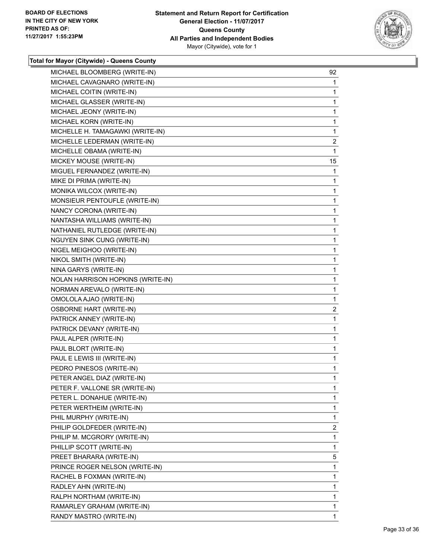

| MICHAEL BLOOMBERG (WRITE-IN)       | 92                      |
|------------------------------------|-------------------------|
| MICHAEL CAVAGNARO (WRITE-IN)       | 1                       |
| MICHAEL COITIN (WRITE-IN)          | 1                       |
| MICHAEL GLASSER (WRITE-IN)         | 1                       |
| MICHAEL JEONY (WRITE-IN)           | 1                       |
| MICHAEL KORN (WRITE-IN)            | 1                       |
| MICHELLE H. TAMAGAWKI (WRITE-IN)   | 1                       |
| MICHELLE LEDERMAN (WRITE-IN)       | $\overline{\mathbf{c}}$ |
| MICHELLE OBAMA (WRITE-IN)          | $\mathbf{1}$            |
| MICKEY MOUSE (WRITE-IN)            | 15                      |
| MIGUEL FERNANDEZ (WRITE-IN)        | 1                       |
| MIKE DI PRIMA (WRITE-IN)           | 1                       |
| MONIKA WILCOX (WRITE-IN)           | 1                       |
| MONSIEUR PENTOUFLE (WRITE-IN)      | 1                       |
| NANCY CORONA (WRITE-IN)            | 1                       |
| NANTASHA WILLIAMS (WRITE-IN)       | 1                       |
| NATHANIEL RUTLEDGE (WRITE-IN)      | 1                       |
| <b>NGUYEN SINK CUNG (WRITE-IN)</b> | 1                       |
| NIGEL MEIGHOO (WRITE-IN)           | 1                       |
| NIKOL SMITH (WRITE-IN)             | 1                       |
| NINA GARYS (WRITE-IN)              | 1                       |
| NOLAN HARRISON HOPKINS (WRITE-IN)  | 1                       |
| NORMAN AREVALO (WRITE-IN)          | 1                       |
| OMOLOLA AJAO (WRITE-IN)            | 1                       |
| <b>OSBORNE HART (WRITE-IN)</b>     | 2                       |
| PATRICK ANNEY (WRITE-IN)           | 1                       |
| PATRICK DEVANY (WRITE-IN)          | 1                       |
| PAUL ALPER (WRITE-IN)              | 1                       |
| PAUL BLORT (WRITE-IN)              | 1                       |
| PAUL E LEWIS III (WRITE-IN)        | 1                       |
| PEDRO PINESOS (WRITE-IN)           | 1                       |
| PETER ANGEL DIAZ (WRITE-IN)        | $\mathbf{1}$            |
| PETER F. VALLONE SR (WRITE-IN)     | 1                       |
| PETER L. DONAHUE (WRITE-IN)        | 1                       |
| PETER WERTHEIM (WRITE-IN)          | 1                       |
| PHIL MURPHY (WRITE-IN)             | 1                       |
| PHILIP GOLDFEDER (WRITE-IN)        | 2                       |
| PHILIP M. MCGRORY (WRITE-IN)       | 1                       |
| PHILLIP SCOTT (WRITE-IN)           | 1                       |
| PREET BHARARA (WRITE-IN)           | 5                       |
| PRINCE ROGER NELSON (WRITE-IN)     | 1                       |
| RACHEL B FOXMAN (WRITE-IN)         | 1                       |
| RADLEY AHN (WRITE-IN)              | 1                       |
| RALPH NORTHAM (WRITE-IN)           | 1                       |
| RAMARLEY GRAHAM (WRITE-IN)         | 1                       |
| RANDY MASTRO (WRITE-IN)            | 1                       |
|                                    |                         |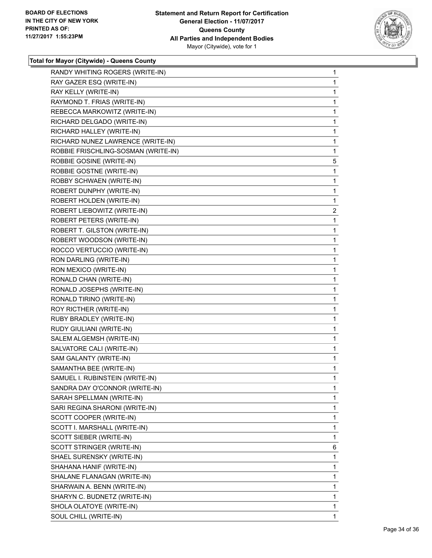

| RANDY WHITING ROGERS (WRITE-IN)     | $\mathbf{1}$ |
|-------------------------------------|--------------|
| RAY GAZER ESQ (WRITE-IN)            | $\mathbf{1}$ |
| RAY KELLY (WRITE-IN)                | 1            |
| RAYMOND T. FRIAS (WRITE-IN)         | 1            |
| REBECCA MARKOWITZ (WRITE-IN)        | 1            |
| RICHARD DELGADO (WRITE-IN)          | 1            |
| RICHARD HALLEY (WRITE-IN)           | 1            |
| RICHARD NUNEZ LAWRENCE (WRITE-IN)   | $\mathbf{1}$ |
| ROBBIE FRISCHLING-SOSMAN (WRITE-IN) | 1            |
| ROBBIE GOSINE (WRITE-IN)            | 5            |
| ROBBIE GOSTNE (WRITE-IN)            | 1            |
| ROBBY SCHWAEN (WRITE-IN)            | 1            |
| ROBERT DUNPHY (WRITE-IN)            | 1            |
| ROBERT HOLDEN (WRITE-IN)            | $\mathbf{1}$ |
| ROBERT LIEBOWITZ (WRITE-IN)         | 2            |
| ROBERT PETERS (WRITE-IN)            | 1            |
| ROBERT T. GILSTON (WRITE-IN)        | 1            |
| ROBERT WOODSON (WRITE-IN)           | 1            |
| ROCCO VERTUCCIO (WRITE-IN)          | 1            |
| RON DARLING (WRITE-IN)              | $\mathbf{1}$ |
| RON MEXICO (WRITE-IN)               | 1            |
| RONALD CHAN (WRITE-IN)              | 1            |
| RONALD JOSEPHS (WRITE-IN)           | 1            |
| RONALD TIRINO (WRITE-IN)            | 1            |
| ROY RICTHER (WRITE-IN)              | 1            |
| RUBY BRADLEY (WRITE-IN)             | $\mathbf{1}$ |
| RUDY GIULIANI (WRITE-IN)            | 1            |
| SALEM ALGEMSH (WRITE-IN)            | 1            |
| SALVATORE CALI (WRITE-IN)           | 1            |
| SAM GALANTY (WRITE-IN)              | 1            |
| SAMANTHA BEE (WRITE-IN)             | 1            |
| SAMUEL I. RUBINSTEIN (WRITE-IN)     | $\mathbf{1}$ |
| SANDRA DAY O'CONNOR (WRITE-IN)      | 1            |
| SARAH SPELLMAN (WRITE-IN)           | 1            |
| SARI REGINA SHARONI (WRITE-IN)      | 1            |
| SCOTT COOPER (WRITE-IN)             | 1            |
| SCOTT I. MARSHALL (WRITE-IN)        | 1            |
| SCOTT SIEBER (WRITE-IN)             | 1            |
| SCOTT STRINGER (WRITE-IN)           | 6            |
| SHAEL SURENSKY (WRITE-IN)           | 1            |
| SHAHANA HANIF (WRITE-IN)            | 1            |
| SHALANE FLANAGAN (WRITE-IN)         | 1            |
| SHARWAIN A. BENN (WRITE-IN)         | 1            |
| SHARYN C. BUDNETZ (WRITE-IN)        | 1            |
| SHOLA OLATOYE (WRITE-IN)            | 1            |
| SOUL CHILL (WRITE-IN)               | 1            |
|                                     |              |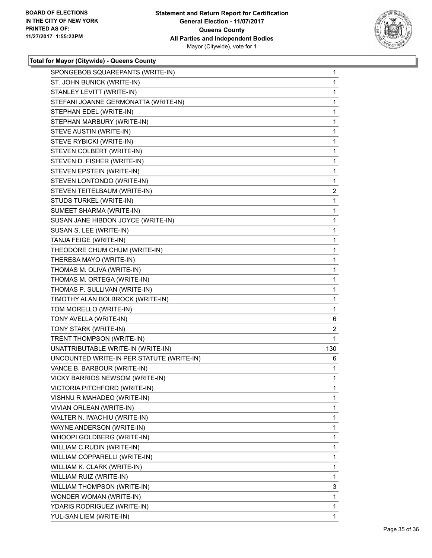

| SPONGEBOB SQUAREPANTS (WRITE-IN)          | 1            |
|-------------------------------------------|--------------|
| ST. JOHN BUNICK (WRITE-IN)                | 1            |
| STANLEY LEVITT (WRITE-IN)                 | 1            |
| STEFANI JOANNE GERMONATTA (WRITE-IN)      | 1            |
| STEPHAN EDEL (WRITE-IN)                   | 1            |
| STEPHAN MARBURY (WRITE-IN)                | 1            |
| STEVE AUSTIN (WRITE-IN)                   | 1            |
| STEVE RYBICKI (WRITE-IN)                  | 1            |
| STEVEN COLBERT (WRITE-IN)                 | 1            |
| STEVEN D. FISHER (WRITE-IN)               | 1            |
| STEVEN EPSTEIN (WRITE-IN)                 | 1            |
| STEVEN LONTONDO (WRITE-IN)                | 1            |
| STEVEN TEITELBAUM (WRITE-IN)              | 2            |
| STUDS TURKEL (WRITE-IN)                   | 1            |
| SUMEET SHARMA (WRITE-IN)                  | 1            |
| SUSAN JANE HIBDON JOYCE (WRITE-IN)        | 1            |
| SUSAN S. LEE (WRITE-IN)                   | 1            |
| TANJA FEIGE (WRITE-IN)                    | 1            |
| THEODORE CHUM CHUM (WRITE-IN)             | 1            |
| THERESA MAYO (WRITE-IN)                   | 1            |
| THOMAS M. OLIVA (WRITE-IN)                | 1            |
| THOMAS M. ORTEGA (WRITE-IN)               | 1            |
| THOMAS P. SULLIVAN (WRITE-IN)             | 1            |
| TIMOTHY ALAN BOLBROCK (WRITE-IN)          | 1            |
| TOM MORELLO (WRITE-IN)                    | 1            |
| TONY AVELLA (WRITE-IN)                    | 6            |
| TONY STARK (WRITE-IN)                     | 2            |
| TRENT THOMPSON (WRITE-IN)                 | 1            |
| UNATTRIBUTABLE WRITE-IN (WRITE-IN)        | 130          |
| UNCOUNTED WRITE-IN PER STATUTE (WRITE-IN) | 6            |
| VANCE B. BARBOUR (WRITE-IN)               | 1            |
| VICKY BARRIOS NEWSOM (WRITE-IN)           | $\mathbf{1}$ |
| VICTORIA PITCHFORD (WRITE-IN)             | 1            |
| VISHNU R MAHADEO (WRITE-IN)               | 1            |
| VIVIAN ORLEAN (WRITE-IN)                  | 1            |
| WALTER N. IWACHIU (WRITE-IN)              | 1            |
| WAYNE ANDERSON (WRITE-IN)                 | 1            |
| WHOOPI GOLDBERG (WRITE-IN)                | 1            |
| WILLIAM C.RUDIN (WRITE-IN)                | 1            |
| WILLIAM COPPARELLI (WRITE-IN)             | 1            |
| WILLIAM K. CLARK (WRITE-IN)               | 1            |
| WILLIAM RUIZ (WRITE-IN)                   | 1            |
| WILLIAM THOMPSON (WRITE-IN)               | 3            |
| WONDER WOMAN (WRITE-IN)                   | 1            |
| YDARIS RODRIGUEZ (WRITE-IN)               | 1            |
| YUL-SAN LIEM (WRITE-IN)                   | 1            |